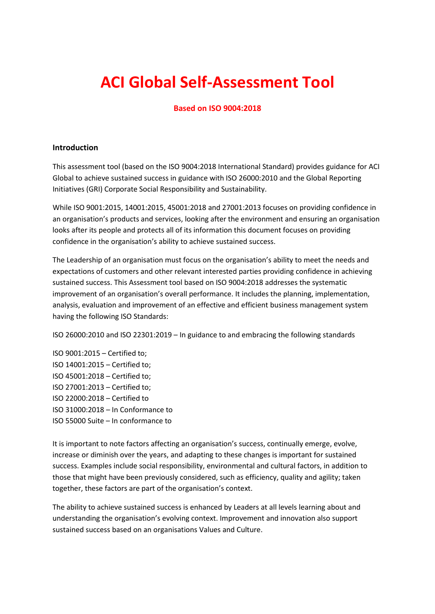# **ACI Global Self-Assessment Tool**

#### **Based on ISO 9004:2018**

#### **Introduction**

This assessment tool (based on the ISO 9004:2018 International Standard) provides guidance for ACI Global to achieve sustained success in guidance with ISO 26000:2010 and the Global Reporting Initiatives (GRI) Corporate Social Responsibility and Sustainability.

While ISO 9001:2015, 14001:2015, 45001:2018 and 27001:2013 focuses on providing confidence in an organisation's products and services, looking after the environment and ensuring an organisation looks after its people and protects all of its information this document focuses on providing confidence in the organisation's ability to achieve sustained success.

The Leadership of an organisation must focus on the organisation's ability to meet the needs and expectations of customers and other relevant interested parties providing confidence in achieving sustained success. This Assessment tool based on ISO 9004:2018 addresses the systematic improvement of an organisation's overall performance. It includes the planning, implementation, analysis, evaluation and improvement of an effective and efficient business management system having the following ISO Standards:

ISO 26000:2010 and ISO 22301:2019 – In guidance to and embracing the following standards

ISO 9001:2015 – Certified to; ISO 14001:2015 – Certified to; ISO 45001:2018 – Certified to; ISO 27001:2013 – Certified to; ISO 22000:2018 – Certified to ISO 31000:2018 – In Conformance to ISO 55000 Suite – In conformance to

It is important to note factors affecting an organisation's success, continually emerge, evolve, increase or diminish over the years, and adapting to these changes is important for sustained success. Examples include social responsibility, environmental and cultural factors, in addition to those that might have been previously considered, such as efficiency, quality and agility; taken together, these factors are part of the organisation's context.

The ability to achieve sustained success is enhanced by Leaders at all levels learning about and understanding the organisation's evolving context. Improvement and innovation also support sustained success based on an organisations Values and Culture.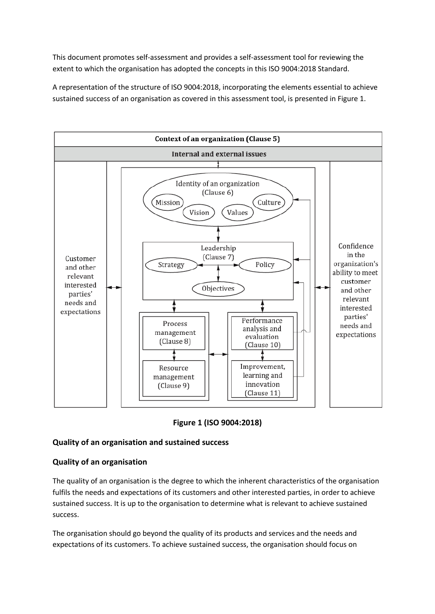This document promotes self-assessment and provides a self-assessment tool for reviewing the extent to which the organisation has adopted the concepts in this ISO 9004:2018 Standard.

A representation of the structure of ISO 9004:2018, incorporating the elements essential to achieve sustained success of an organisation as covered in this assessment tool, is presented in Figure 1.



**Figure 1 (ISO 9004:2018)**

## **Quality of an organisation and sustained success**

#### **Quality of an organisation**

The quality of an organisation is the degree to which the inherent characteristics of the organisation fulfils the needs and expectations of its customers and other interested parties, in order to achieve sustained success. It is up to the organisation to determine what is relevant to achieve sustained success.

The organisation should go beyond the quality of its products and services and the needs and expectations of its customers. To achieve sustained success, the organisation should focus on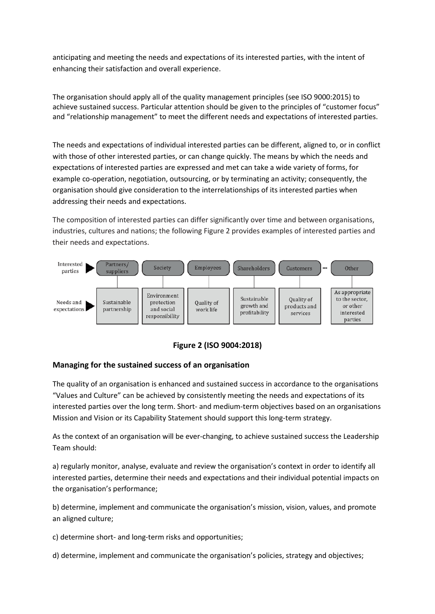anticipating and meeting the needs and expectations of its interested parties, with the intent of enhancing their satisfaction and overall experience.

The organisation should apply all of the quality management principles (see ISO 9000:2015) to achieve sustained success. Particular attention should be given to the principles of "customer focus" and "relationship management" to meet the different needs and expectations of interested parties.

The needs and expectations of individual interested parties can be different, aligned to, or in conflict with those of other interested parties, or can change quickly. The means by which the needs and expectations of interested parties are expressed and met can take a wide variety of forms, for example co-operation, negotiation, outsourcing, or by terminating an activity; consequently, the organisation should give consideration to the interrelationships of its interested parties when addressing their needs and expectations.

The composition of interested parties can differ significantly over time and between organisations, industries, cultures and nations; the following Figure 2 provides examples of interested parties and their needs and expectations.



**Figure 2 (ISO 9004:2018)**

## **Managing for the sustained success of an organisation**

The quality of an organisation is enhanced and sustained success in accordance to the organisations "Values and Culture" can be achieved by consistently meeting the needs and expectations of its interested parties over the long term. Short- and medium-term objectives based on an organisations Mission and Vision or its Capability Statement should support this long-term strategy.

As the context of an organisation will be ever-changing, to achieve sustained success the Leadership Team should:

a) regularly monitor, analyse, evaluate and review the organisation's context in order to identify all interested parties, determine their needs and expectations and their individual potential impacts on the organisation's performance;

b) determine, implement and communicate the organisation's mission, vision, values, and promote an aligned culture;

c) determine short- and long-term risks and opportunities;

d) determine, implement and communicate the organisation's policies, strategy and objectives;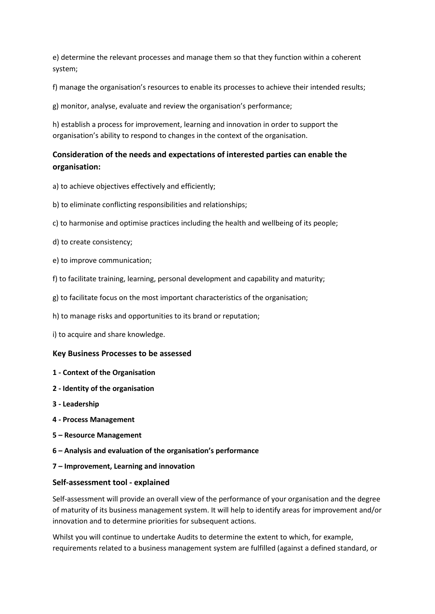e) determine the relevant processes and manage them so that they function within a coherent system;

f) manage the organisation's resources to enable its processes to achieve their intended results;

g) monitor, analyse, evaluate and review the organisation's performance;

h) establish a process for improvement, learning and innovation in order to support the organisation's ability to respond to changes in the context of the organisation.

# **Consideration of the needs and expectations of interested parties can enable the organisation:**

- a) to achieve objectives effectively and efficiently;
- b) to eliminate conflicting responsibilities and relationships;
- c) to harmonise and optimise practices including the health and wellbeing of its people;
- d) to create consistency;
- e) to improve communication;
- f) to facilitate training, learning, personal development and capability and maturity;
- g) to facilitate focus on the most important characteristics of the organisation;
- h) to manage risks and opportunities to its brand or reputation;
- i) to acquire and share knowledge.

#### **Key Business Processes to be assessed**

- **1 - Context of the Organisation**
- **2 - Identity of the organisation**
- **3 - Leadership**
- **4 - Process Management**
- **5 – Resource Management**
- **6 – Analysis and evaluation of the organisation's performance**
- **7 – Improvement, Learning and innovation**

#### **Self-assessment tool - explained**

Self-assessment will provide an overall view of the performance of your organisation and the degree of maturity of its business management system. It will help to identify areas for improvement and/or innovation and to determine priorities for subsequent actions.

Whilst you will continue to undertake Audits to determine the extent to which, for example, requirements related to a business management system are fulfilled (against a defined standard, or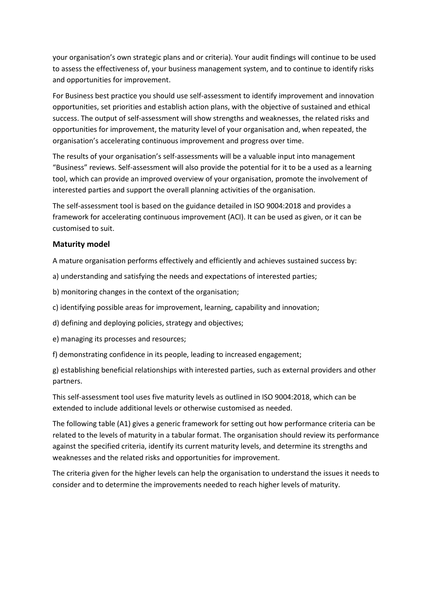your organisation's own strategic plans and or criteria). Your audit findings will continue to be used to assess the effectiveness of, your business management system, and to continue to identify risks and opportunities for improvement.

For Business best practice you should use self-assessment to identify improvement and innovation opportunities, set priorities and establish action plans, with the objective of sustained and ethical success. The output of self-assessment will show strengths and weaknesses, the related risks and opportunities for improvement, the maturity level of your organisation and, when repeated, the organisation's accelerating continuous improvement and progress over time.

The results of your organisation's self-assessments will be a valuable input into management "Business" reviews. Self-assessment will also provide the potential for it to be a used as a learning tool, which can provide an improved overview of your organisation, promote the involvement of interested parties and support the overall planning activities of the organisation.

The self-assessment tool is based on the guidance detailed in ISO 9004:2018 and provides a framework for accelerating continuous improvement (ACI). It can be used as given, or it can be customised to suit.

#### **Maturity model**

A mature organisation performs effectively and efficiently and achieves sustained success by:

- a) understanding and satisfying the needs and expectations of interested parties;
- b) monitoring changes in the context of the organisation;
- c) identifying possible areas for improvement, learning, capability and innovation;
- d) defining and deploying policies, strategy and objectives;
- e) managing its processes and resources;
- f) demonstrating confidence in its people, leading to increased engagement;

g) establishing beneficial relationships with interested parties, such as external providers and other partners.

This self-assessment tool uses five maturity levels as outlined in ISO 9004:2018, which can be extended to include additional levels or otherwise customised as needed.

The following table (A1) gives a generic framework for setting out how performance criteria can be related to the levels of maturity in a tabular format. The organisation should review its performance against the specified criteria, identify its current maturity levels, and determine its strengths and weaknesses and the related risks and opportunities for improvement.

The criteria given for the higher levels can help the organisation to understand the issues it needs to consider and to determine the improvements needed to reach higher levels of maturity.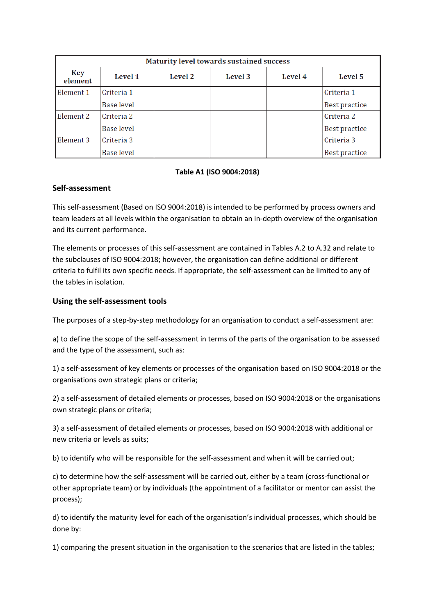| Maturity level towards sustained success |                   |         |         |         |               |  |
|------------------------------------------|-------------------|---------|---------|---------|---------------|--|
| Key<br>element                           | <b>Level 1</b>    | Level 2 | Level 3 | Level 4 | Level 5       |  |
| Element 1                                | Criteria 1        |         |         |         | Criteria 1    |  |
|                                          | <b>Base level</b> |         |         |         | Best practice |  |
| Element 2                                | Criteria 2        |         |         |         | Criteria 2    |  |
|                                          | Base level        |         |         |         | Best practice |  |
| Element 3                                | Criteria 3        |         |         |         | Criteria 3    |  |
|                                          | <b>Base level</b> |         |         |         | Best practice |  |

#### **Table A1 (ISO 9004:2018)**

#### **Self-assessment**

This self-assessment (Based on ISO 9004:2018) is intended to be performed by process owners and team leaders at all levels within the organisation to obtain an in-depth overview of the organisation and its current performance.

The elements or processes of this self-assessment are contained in Tables A.2 to A.32 and relate to the subclauses of ISO 9004:2018; however, the organisation can define additional or different criteria to fulfil its own specific needs. If appropriate, the self-assessment can be limited to any of the tables in isolation.

#### **Using the self-assessment tools**

The purposes of a step-by-step methodology for an organisation to conduct a self-assessment are:

a) to define the scope of the self-assessment in terms of the parts of the organisation to be assessed and the type of the assessment, such as:

1) a self-assessment of key elements or processes of the organisation based on ISO 9004:2018 or the organisations own strategic plans or criteria;

2) a self-assessment of detailed elements or processes, based on ISO 9004:2018 or the organisations own strategic plans or criteria;

3) a self-assessment of detailed elements or processes, based on ISO 9004:2018 with additional or new criteria or levels as suits;

b) to identify who will be responsible for the self-assessment and when it will be carried out;

c) to determine how the self-assessment will be carried out, either by a team (cross-functional or other appropriate team) or by individuals (the appointment of a facilitator or mentor can assist the process);

d) to identify the maturity level for each of the organisation's individual processes, which should be done by:

1) comparing the present situation in the organisation to the scenarios that are listed in the tables;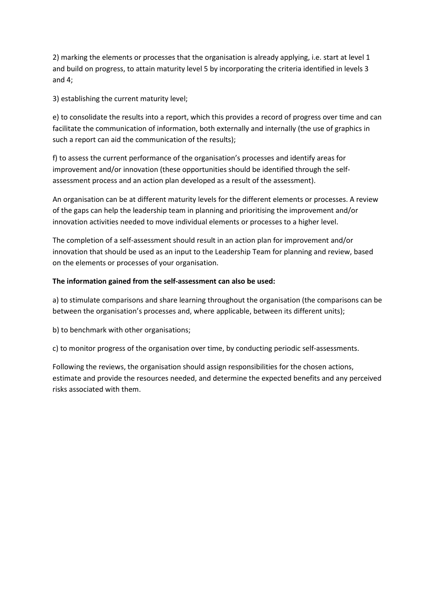2) marking the elements or processes that the organisation is already applying, i.e. start at level 1 and build on progress, to attain maturity level 5 by incorporating the criteria identified in levels 3 and 4;

3) establishing the current maturity level;

e) to consolidate the results into a report, which this provides a record of progress over time and can facilitate the communication of information, both externally and internally (the use of graphics in such a report can aid the communication of the results);

f) to assess the current performance of the organisation's processes and identify areas for improvement and/or innovation (these opportunities should be identified through the selfassessment process and an action plan developed as a result of the assessment).

An organisation can be at different maturity levels for the different elements or processes. A review of the gaps can help the leadership team in planning and prioritising the improvement and/or innovation activities needed to move individual elements or processes to a higher level.

The completion of a self-assessment should result in an action plan for improvement and/or innovation that should be used as an input to the Leadership Team for planning and review, based on the elements or processes of your organisation.

#### **The information gained from the self-assessment can also be used:**

a) to stimulate comparisons and share learning throughout the organisation (the comparisons can be between the organisation's processes and, where applicable, between its different units);

b) to benchmark with other organisations;

c) to monitor progress of the organisation over time, by conducting periodic self-assessments.

Following the reviews, the organisation should assign responsibilities for the chosen actions, estimate and provide the resources needed, and determine the expected benefits and any perceived risks associated with them.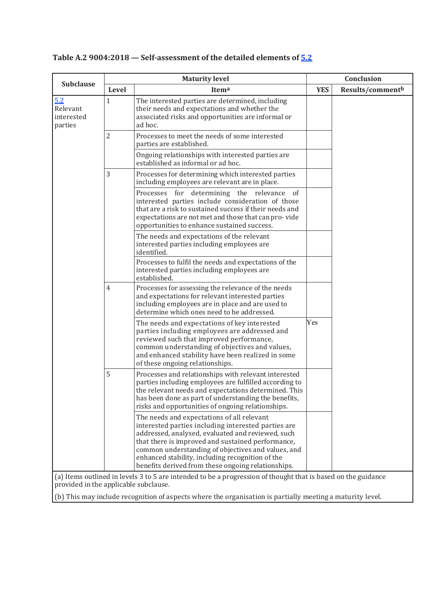|                                          |                | <b>Maturity level</b>                                                                                                                                                                                                                                                                                                                                                                                                                                                                        |            | Conclusion       |
|------------------------------------------|----------------|----------------------------------------------------------------------------------------------------------------------------------------------------------------------------------------------------------------------------------------------------------------------------------------------------------------------------------------------------------------------------------------------------------------------------------------------------------------------------------------------|------------|------------------|
| <b>Subclause</b>                         | Level          | Itema                                                                                                                                                                                                                                                                                                                                                                                                                                                                                        | <b>YES</b> | Results/commentb |
| 5.2<br>Relevant<br>interested<br>parties | 1              | The interested parties are determined, including<br>their needs and expectations and whether the<br>associated risks and opportunities are informal or<br>ad hoc.                                                                                                                                                                                                                                                                                                                            |            |                  |
|                                          | $\overline{2}$ | Processes to meet the needs of some interested<br>parties are established.                                                                                                                                                                                                                                                                                                                                                                                                                   |            |                  |
|                                          |                | Ongoing relationships with interested parties are<br>established as informal or ad hoc.                                                                                                                                                                                                                                                                                                                                                                                                      |            |                  |
|                                          | 3              | Processes for determining which interested parties<br>including employees are relevant are in place.                                                                                                                                                                                                                                                                                                                                                                                         |            |                  |
|                                          |                | Processes for<br>determining the relevance of<br>interested parties include consideration of those<br>that are a risk to sustained success if their needs and<br>expectations are not met and those that can pro-vide<br>opportunities to enhance sustained success.                                                                                                                                                                                                                         |            |                  |
|                                          |                | The needs and expectations of the relevant<br>interested parties including employees are<br>identified.                                                                                                                                                                                                                                                                                                                                                                                      |            |                  |
|                                          |                | Processes to fulfil the needs and expectations of the<br>interested parties including employees are<br>established.                                                                                                                                                                                                                                                                                                                                                                          |            |                  |
|                                          | $\overline{4}$ | Processes for assessing the relevance of the needs<br>and expectations for relevant interested parties<br>including employees are in place and are used to<br>determine which ones need to be addressed.                                                                                                                                                                                                                                                                                     |            |                  |
|                                          |                | The needs and expectations of key interested<br>parties including employees are addressed and<br>reviewed such that improved performance,<br>common understanding of objectives and values,<br>and enhanced stability have been realized in some<br>of these ongoing relationships.                                                                                                                                                                                                          | Yes        |                  |
|                                          | 5              | Processes and relationships with relevant interested<br>parties including employees are fulfilled according to<br>the relevant needs and expectations determined. This<br>has been done as part of understanding the benefits,<br>risks and opportunities of ongoing relationships.                                                                                                                                                                                                          |            |                  |
|                                          |                | The needs and expectations of all relevant<br>interested parties including interested parties are<br>addressed, analysed, evaluated and reviewed, such<br>that there is improved and sustained performance,<br>common understanding of objectives and values, and<br>enhanced stability, including recognition of the<br>benefits derived from these ongoing relationships.<br>(a) Items outlined in levels 3 to 5 are intended to be a progression of thought that is based on the guidance |            |                  |

# **Table A.2 9004:2018 — Self-assessment of the detailed elements of 5.2**

(a) Items outlined in levels 3 to 5 are intended to be a progression of thought that is based on the guidance provided in the applicable subclause.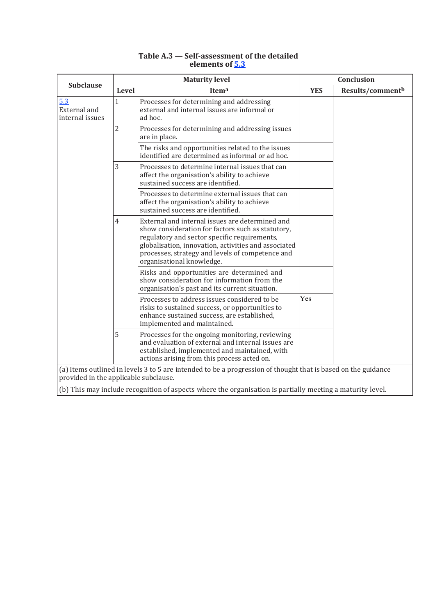|                                        | <b>Maturity level</b> |                                                                                                                                                                                                                                                                                               |            | Conclusion       |  |  |
|----------------------------------------|-----------------------|-----------------------------------------------------------------------------------------------------------------------------------------------------------------------------------------------------------------------------------------------------------------------------------------------|------------|------------------|--|--|
| <b>Subclause</b>                       | Level                 | Itema                                                                                                                                                                                                                                                                                         | <b>YES</b> | Results/commentb |  |  |
| 5.3<br>External and<br>internal issues | $\mathbf{1}$          | Processes for determining and addressing<br>external and internal issues are informal or<br>ad hoc.                                                                                                                                                                                           |            |                  |  |  |
|                                        | $\overline{2}$        | Processes for determining and addressing issues<br>are in place.                                                                                                                                                                                                                              |            |                  |  |  |
|                                        |                       | The risks and opportunities related to the issues<br>identified are determined as informal or ad hoc.                                                                                                                                                                                         |            |                  |  |  |
|                                        | 3                     | Processes to determine internal issues that can<br>affect the organisation's ability to achieve<br>sustained success are identified.                                                                                                                                                          |            |                  |  |  |
|                                        |                       | Processes to determine external issues that can<br>affect the organisation's ability to achieve<br>sustained success are identified.                                                                                                                                                          |            |                  |  |  |
|                                        | $\overline{4}$        | External and internal issues are determined and<br>show consideration for factors such as statutory,<br>regulatory and sector specific requirements,<br>globalisation, innovation, activities and associated<br>processes, strategy and levels of competence and<br>organisational knowledge. |            |                  |  |  |
|                                        |                       | Risks and opportunities are determined and<br>show consideration for information from the<br>organisation's past and its current situation.                                                                                                                                                   |            |                  |  |  |
|                                        |                       | Processes to address issues considered to be<br>risks to sustained success, or opportunities to<br>enhance sustained success, are established,<br>implemented and maintained.                                                                                                                 | Yes        |                  |  |  |
|                                        | 5                     | Processes for the ongoing monitoring, reviewing<br>and evaluation of external and internal issues are<br>established, implemented and maintained, with<br>actions arising from this process acted on.                                                                                         |            |                  |  |  |
| provided in the applicable subclause.  |                       | (a) Items outlined in levels 3 to 5 are intended to be a progression of thought that is based on the guidance                                                                                                                                                                                 |            |                  |  |  |

#### **Table A.3 — Self-assessment of the detailed elements of 5.3**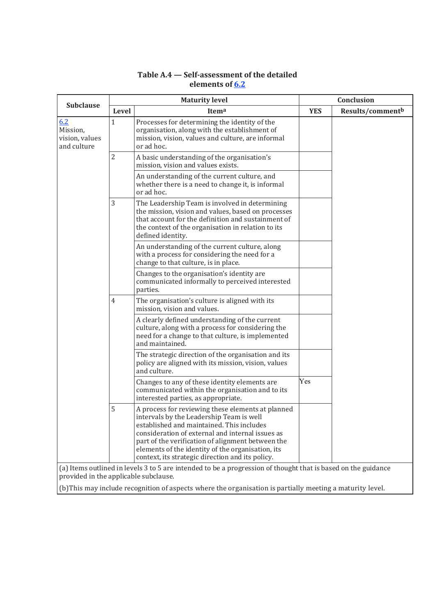| <b>Subclause</b>                                 | <b>Maturity level</b> |                                                                                                                                                                                                                                                                                                                                                              |            | Conclusion       |  |  |
|--------------------------------------------------|-----------------------|--------------------------------------------------------------------------------------------------------------------------------------------------------------------------------------------------------------------------------------------------------------------------------------------------------------------------------------------------------------|------------|------------------|--|--|
|                                                  | Level                 | Itema                                                                                                                                                                                                                                                                                                                                                        | <b>YES</b> | Results/commentb |  |  |
| 6.2<br>Mission,<br>vision, values<br>and culture | 1                     | Processes for determining the identity of the<br>organisation, along with the establishment of<br>mission, vision, values and culture, are informal<br>or ad hoc.                                                                                                                                                                                            |            |                  |  |  |
|                                                  | $\overline{2}$        | A basic understanding of the organisation's<br>mission, vision and values exists.                                                                                                                                                                                                                                                                            |            |                  |  |  |
|                                                  |                       | An understanding of the current culture, and<br>whether there is a need to change it, is informal<br>or ad hoc.                                                                                                                                                                                                                                              |            |                  |  |  |
|                                                  | 3                     | The Leadership Team is involved in determining<br>the mission, vision and values, based on processes<br>that account for the definition and sustainment of<br>the context of the organisation in relation to its<br>defined identity.                                                                                                                        |            |                  |  |  |
|                                                  |                       | An understanding of the current culture, along<br>with a process for considering the need for a<br>change to that culture, is in place.                                                                                                                                                                                                                      |            |                  |  |  |
|                                                  |                       | Changes to the organisation's identity are<br>communicated informally to perceived interested<br>parties.                                                                                                                                                                                                                                                    |            |                  |  |  |
|                                                  | 4                     | The organisation's culture is aligned with its<br>mission, vision and values.                                                                                                                                                                                                                                                                                |            |                  |  |  |
|                                                  |                       | A clearly defined understanding of the current<br>culture, along with a process for considering the<br>need for a change to that culture, is implemented<br>and maintained.                                                                                                                                                                                  |            |                  |  |  |
|                                                  |                       | The strategic direction of the organisation and its<br>policy are aligned with its mission, vision, values<br>and culture.                                                                                                                                                                                                                                   |            |                  |  |  |
|                                                  |                       | Changes to any of these identity elements are<br>communicated within the organisation and to its<br>interested parties, as appropriate.                                                                                                                                                                                                                      | Yes        |                  |  |  |
|                                                  | 5                     | A process for reviewing these elements at planned<br>intervals by the Leadership Team is well<br>established and maintained. This includes<br>consideration of external and internal issues as<br>part of the verification of alignment between the<br>elements of the identity of the organisation, its<br>context, its strategic direction and its policy. |            |                  |  |  |
| provided in the applicable subclause.            |                       | (a) Items outlined in levels 3 to 5 are intended to be a progression of thought that is based on the guidance                                                                                                                                                                                                                                                |            |                  |  |  |

# **Table A.4 — Self-assessment of the detailed elements of 6.2**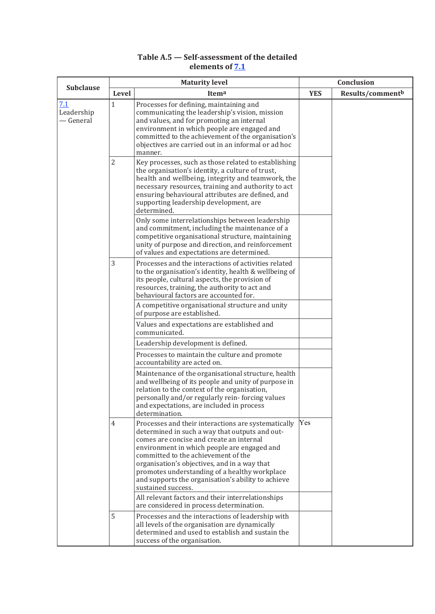## **Table A.5 — Self-assessment of the detailed elements of 7.1**

| <b>Subclause</b>               |                | <b>Maturity level</b>                                                                                                                                                                                                                                                                                                                                                                                                |            | Conclusion       |  |
|--------------------------------|----------------|----------------------------------------------------------------------------------------------------------------------------------------------------------------------------------------------------------------------------------------------------------------------------------------------------------------------------------------------------------------------------------------------------------------------|------------|------------------|--|
|                                | Level          | Itema                                                                                                                                                                                                                                                                                                                                                                                                                | <b>YES</b> | Results/commentb |  |
| 7.1<br>Leadership<br>— General | $\mathbf 1$    | Processes for defining, maintaining and<br>communicating the leadership's vision, mission<br>and values, and for promoting an internal<br>environment in which people are engaged and<br>committed to the achievement of the organisation's<br>objectives are carried out in an informal or ad hoc<br>manner.                                                                                                        |            |                  |  |
|                                | $\overline{2}$ | Key processes, such as those related to establishing<br>the organisation's identity, a culture of trust,<br>health and wellbeing, integrity and teamwork, the<br>necessary resources, training and authority to act<br>ensuring behavioural attributes are defined, and<br>supporting leadership development, are<br>determined.                                                                                     |            |                  |  |
|                                |                | Only some interrelationships between leadership<br>and commitment, including the maintenance of a<br>competitive organisational structure, maintaining<br>unity of purpose and direction, and reinforcement<br>of values and expectations are determined.                                                                                                                                                            |            |                  |  |
|                                | 3              | Processes and the interactions of activities related<br>to the organisation's identity, health & wellbeing of<br>its people, cultural aspects, the provision of<br>resources, training, the authority to act and<br>behavioural factors are accounted for.<br>A competitive organisational structure and unity                                                                                                       |            |                  |  |
|                                |                | of purpose are established.<br>Values and expectations are established and<br>communicated.                                                                                                                                                                                                                                                                                                                          |            |                  |  |
|                                |                | Leadership development is defined.<br>Processes to maintain the culture and promote<br>accountability are acted on.                                                                                                                                                                                                                                                                                                  |            |                  |  |
|                                |                | Maintenance of the organisational structure, health<br>and wellbeing of its people and unity of purpose in<br>relation to the context of the organisation,<br>personally and/or regularly rein-forcing values<br>and expectations, are included in process<br>determination.                                                                                                                                         |            |                  |  |
|                                | $\overline{4}$ | Processes and their interactions are systematically<br>determined in such a way that outputs and out-<br>comes are concise and create an internal<br>environment in which people are engaged and<br>committed to the achievement of the<br>organisation's objectives, and in a way that<br>promotes understanding of a healthy workplace<br>and supports the organisation's ability to achieve<br>sustained success. | Yes        |                  |  |
|                                |                | All relevant factors and their interrelationships<br>are considered in process determination.                                                                                                                                                                                                                                                                                                                        |            |                  |  |
|                                | 5              | Processes and the interactions of leadership with<br>all levels of the organisation are dynamically<br>determined and used to establish and sustain the<br>success of the organisation.                                                                                                                                                                                                                              |            |                  |  |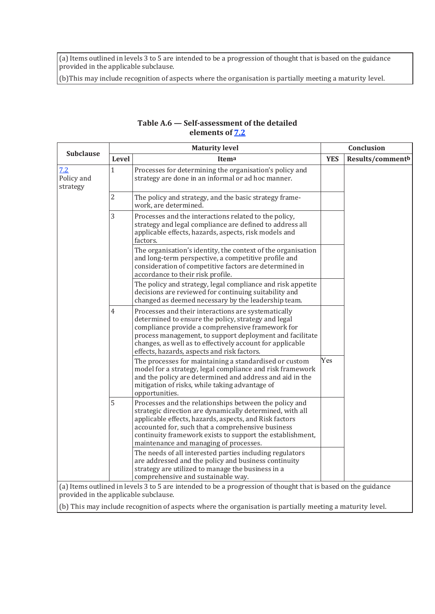(a) Items outlined in levels 3 to 5 are intended to be a progression of thought that is based on the guidance provided in the applicable subclause.

(b)This may include recognition of aspects where the organisation is partially meeting a maturity level.

| <b>Subclause</b>              |                | <b>Maturity level</b>                                                                                                                                                                                                                                                                                                                    |            | Conclusion       |
|-------------------------------|----------------|------------------------------------------------------------------------------------------------------------------------------------------------------------------------------------------------------------------------------------------------------------------------------------------------------------------------------------------|------------|------------------|
|                               | Level          | Itema                                                                                                                                                                                                                                                                                                                                    | <b>YES</b> | Results/commentb |
| 7.2<br>Policy and<br>strategy | $\mathbf{1}$   | Processes for determining the organisation's policy and<br>strategy are done in an informal or ad hoc manner.                                                                                                                                                                                                                            |            |                  |
|                               | $\overline{2}$ | The policy and strategy, and the basic strategy frame-<br>work, are determined.                                                                                                                                                                                                                                                          |            |                  |
|                               | 3              | Processes and the interactions related to the policy,<br>strategy and legal compliance are defined to address all<br>applicable effects, hazards, aspects, risk models and<br>factors.                                                                                                                                                   |            |                  |
|                               |                | The organisation's identity, the context of the organisation<br>and long-term perspective, a competitive profile and<br>consideration of competitive factors are determined in<br>accordance to their risk profile.                                                                                                                      |            |                  |
|                               |                | The policy and strategy, legal compliance and risk appetite<br>decisions are reviewed for continuing suitability and<br>changed as deemed necessary by the leadership team.                                                                                                                                                              |            |                  |
|                               | $\overline{4}$ | Processes and their interactions are systematically<br>determined to ensure the policy, strategy and legal<br>compliance provide a comprehensive framework for<br>process management, to support deployment and facilitate<br>changes, as well as to effectively account for applicable<br>effects, hazards, aspects and risk factors.   |            |                  |
|                               |                | The processes for maintaining a standardised or custom<br>model for a strategy, legal compliance and risk framework<br>and the policy are determined and address and aid in the<br>mitigation of risks, while taking advantage of<br>opportunities.                                                                                      | Yes        |                  |
|                               | 5              | Processes and the relationships between the policy and<br>strategic direction are dynamically determined, with all<br>applicable effects, hazards, aspects, and Risk factors<br>accounted for, such that a comprehensive business<br>continuity framework exists to support the establishment,<br>maintenance and managing of processes. |            |                  |
|                               |                | The needs of all interested parties including regulators<br>are addressed and the policy and business continuity<br>strategy are utilized to manage the business in a<br>comprehensive and sustainable way.<br>(a) Items outlined in levels 3 to 5 are intended to be a progression of thought that is based on the guidance             |            |                  |

#### **Table A.6 — Self-assessment of the detailed elements of 7.2**

(a) Items outlined in levels 3 to 5 are intended to be a progression of thought that is based on the guidance provided in the applicable subclause.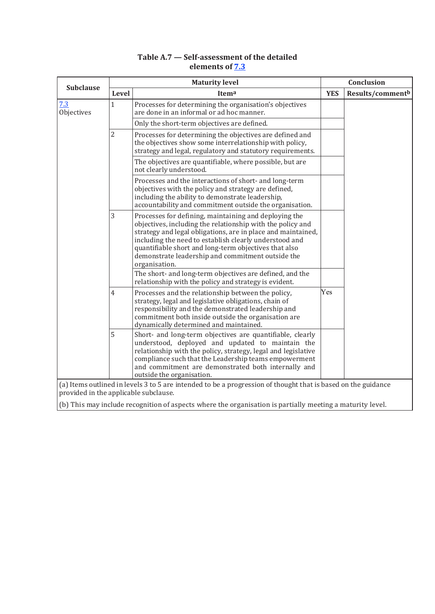## **Table A.7 — Self-assessment of the detailed elements of 7.3**

| <b>Subclause</b>                      |                | <b>Maturity level</b>                                                                                                                                                                                                                                                                                                                                                        |            | Conclusion       |  |
|---------------------------------------|----------------|------------------------------------------------------------------------------------------------------------------------------------------------------------------------------------------------------------------------------------------------------------------------------------------------------------------------------------------------------------------------------|------------|------------------|--|
|                                       | Level          | Itema                                                                                                                                                                                                                                                                                                                                                                        | <b>YES</b> | Results/commentb |  |
| 7.3<br>Objectives                     | $\mathbf{1}$   | Processes for determining the organisation's objectives<br>are done in an informal or ad hoc manner.                                                                                                                                                                                                                                                                         |            |                  |  |
|                                       |                | Only the short-term objectives are defined.                                                                                                                                                                                                                                                                                                                                  |            |                  |  |
|                                       | $\overline{2}$ | Processes for determining the objectives are defined and<br>the objectives show some interrelationship with policy,<br>strategy and legal, regulatory and statutory requirements.                                                                                                                                                                                            |            |                  |  |
|                                       |                | The objectives are quantifiable, where possible, but are<br>not clearly understood.                                                                                                                                                                                                                                                                                          |            |                  |  |
|                                       |                | Processes and the interactions of short- and long-term<br>objectives with the policy and strategy are defined,<br>including the ability to demonstrate leadership,<br>accountability and commitment outside the organisation.                                                                                                                                                |            |                  |  |
|                                       | 3              | Processes for defining, maintaining and deploying the<br>objectives, including the relationship with the policy and<br>strategy and legal obligations, are in place and maintained,<br>including the need to establish clearly understood and<br>quantifiable short and long-term objectives that also<br>demonstrate leadership and commitment outside the<br>organisation. |            |                  |  |
|                                       |                | The short- and long-term objectives are defined, and the<br>relationship with the policy and strategy is evident.                                                                                                                                                                                                                                                            |            |                  |  |
|                                       | $\overline{4}$ | Processes and the relationship between the policy,<br>strategy, legal and legislative obligations, chain of<br>responsibility and the demonstrated leadership and<br>commitment both inside outside the organisation are<br>dynamically determined and maintained.                                                                                                           | Yes        |                  |  |
|                                       | 5              | Short- and long-term objectives are quantifiable, clearly<br>understood, deployed and updated to maintain the<br>relationship with the policy, strategy, legal and legislative<br>compliance such that the Leadership teams empowerment<br>and commitment are demonstrated both internally and<br>outside the organisation.                                                  |            |                  |  |
| provided in the applicable subclause. |                | (a) Items outlined in levels 3 to 5 are intended to be a progression of thought that is based on the guidance                                                                                                                                                                                                                                                                |            |                  |  |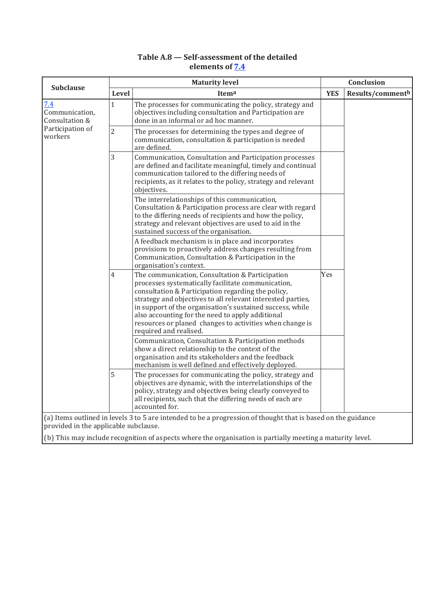# **Table A.8 — Self-assessment of the detailed elements of 7.4**

| <b>Subclause</b>                        |                | <b>Maturity level</b>                                                                                                                                                                                                                                                                                                                                                                                                             |            | Conclusion                   |  |
|-----------------------------------------|----------------|-----------------------------------------------------------------------------------------------------------------------------------------------------------------------------------------------------------------------------------------------------------------------------------------------------------------------------------------------------------------------------------------------------------------------------------|------------|------------------------------|--|
|                                         | Level          | Itema                                                                                                                                                                                                                                                                                                                                                                                                                             | <b>YES</b> | Results/comment <sup>b</sup> |  |
| 7.4<br>Communication,<br>Consultation & | $\mathbf{1}$   | The processes for communicating the policy, strategy and<br>objectives including consultation and Participation are<br>done in an informal or ad hoc manner.                                                                                                                                                                                                                                                                      |            |                              |  |
| Participation of<br>workers             | $\overline{2}$ | The processes for determining the types and degree of<br>communication, consultation & participation is needed<br>are defined.                                                                                                                                                                                                                                                                                                    |            |                              |  |
|                                         | 3              | Communication, Consultation and Participation processes<br>are defined and facilitate meaningful, timely and continual<br>communication tailored to the differing needs of<br>recipients, as it relates to the policy, strategy and relevant<br>objectives.                                                                                                                                                                       |            |                              |  |
|                                         |                | The interrelationships of this communication,<br>Consultation & Participation process are clear with regard<br>to the differing needs of recipients and how the policy,<br>strategy and relevant objectives are used to aid in the<br>sustained success of the organisation.                                                                                                                                                      |            |                              |  |
|                                         |                | A feedback mechanism is in place and incorporates<br>provisions to proactively address changes resulting from<br>Communication, Consultation & Participation in the<br>organisation's context.                                                                                                                                                                                                                                    |            |                              |  |
|                                         | $\overline{4}$ | The communication, Consultation & Participation<br>processes systematically facilitate communication,<br>consultation & Participation regarding the policy,<br>strategy and objectives to all relevant interested parties,<br>in support of the organisation's sustained success, while<br>also accounting for the need to apply additional<br>resources or planed changes to activities when change is<br>required and realised. | Yes        |                              |  |
|                                         |                | Communication, Consultation & Participation methods<br>show a direct relationship to the context of the<br>organisation and its stakeholders and the feedback<br>mechanism is well defined and effectively deployed.                                                                                                                                                                                                              |            |                              |  |
|                                         | 5              | The processes for communicating the policy, strategy and<br>objectives are dynamic, with the interrelationships of the<br>policy, strategy and objectives being clearly conveyed to<br>all recipients, such that the differing needs of each are<br>accounted for.                                                                                                                                                                |            |                              |  |
| provided in the applicable subclause.   |                | (a) Items outlined in levels 3 to 5 are intended to be a progression of thought that is based on the guidance                                                                                                                                                                                                                                                                                                                     |            |                              |  |
|                                         |                | (b) This may include recognition of aspects where the organisation is partially meeting a maturity level.                                                                                                                                                                                                                                                                                                                         |            |                              |  |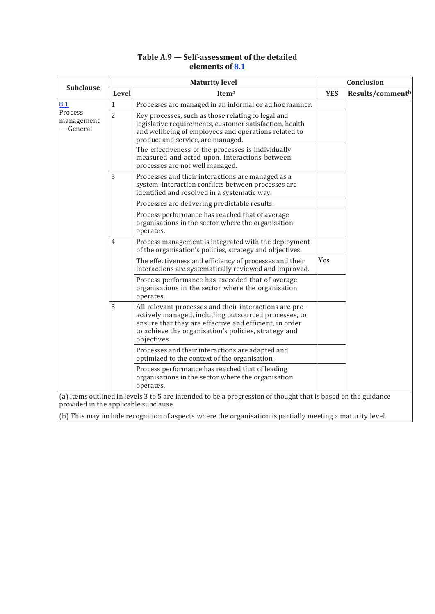## **Table A.9 — Self-assessment of the detailed elements of 8.1**

|                                       | <b>Maturity level</b> |                                                                                                                                                                                                                                                 |            | Conclusion                   |  |
|---------------------------------------|-----------------------|-------------------------------------------------------------------------------------------------------------------------------------------------------------------------------------------------------------------------------------------------|------------|------------------------------|--|
| <b>Subclause</b>                      | Level                 | Itema                                                                                                                                                                                                                                           | <b>YES</b> | Results/comment <sup>b</sup> |  |
| 8.1                                   | $\mathbf{1}$          | Processes are managed in an informal or ad hoc manner.                                                                                                                                                                                          |            |                              |  |
| Process<br>management<br>— General    | $\overline{c}$        | Key processes, such as those relating to legal and<br>legislative requirements, customer satisfaction, health<br>and wellbeing of employees and operations related to<br>product and service, are managed.                                      |            |                              |  |
|                                       |                       | The effectiveness of the processes is individually<br>measured and acted upon. Interactions between<br>processes are not well managed.                                                                                                          |            |                              |  |
|                                       | 3                     | Processes and their interactions are managed as a<br>system. Interaction conflicts between processes are<br>identified and resolved in a systematic way.                                                                                        |            |                              |  |
|                                       |                       | Processes are delivering predictable results.                                                                                                                                                                                                   |            |                              |  |
|                                       |                       | Process performance has reached that of average<br>organisations in the sector where the organisation<br>operates.                                                                                                                              |            |                              |  |
|                                       | $\overline{4}$<br>5   | Process management is integrated with the deployment<br>of the organisation's policies, strategy and objectives.                                                                                                                                |            |                              |  |
|                                       |                       | The effectiveness and efficiency of processes and their<br>interactions are systematically reviewed and improved.                                                                                                                               | Yes        |                              |  |
|                                       |                       | Process performance has exceeded that of average<br>organisations in the sector where the organisation<br>operates.                                                                                                                             |            |                              |  |
|                                       |                       | All relevant processes and their interactions are pro-<br>actively managed, including outsourced processes, to<br>ensure that they are effective and efficient, in order<br>to achieve the organisation's policies, strategy and<br>objectives. |            |                              |  |
|                                       |                       | Processes and their interactions are adapted and<br>optimized to the context of the organisation.                                                                                                                                               |            |                              |  |
|                                       |                       | Process performance has reached that of leading<br>organisations in the sector where the organisation<br>operates.                                                                                                                              |            |                              |  |
| provided in the applicable subclause. |                       | (a) Items outlined in levels 3 to 5 are intended to be a progression of thought that is based on the guidance                                                                                                                                   |            |                              |  |
|                                       |                       | (b) This may include recognition of aspects where the organisation is partially meeting a maturity level.                                                                                                                                       |            |                              |  |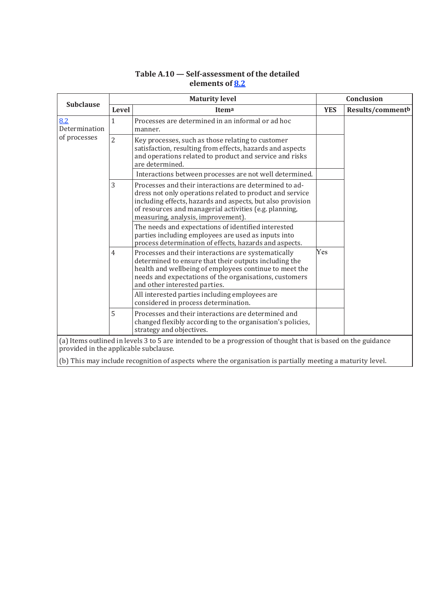| <b>Subclause</b>                                                                                                                                       | <b>Maturity level</b> |                                                                                                                                                                                                                                                                                  |            | Conclusion       |  |
|--------------------------------------------------------------------------------------------------------------------------------------------------------|-----------------------|----------------------------------------------------------------------------------------------------------------------------------------------------------------------------------------------------------------------------------------------------------------------------------|------------|------------------|--|
|                                                                                                                                                        | Level                 | Itema                                                                                                                                                                                                                                                                            | <b>YES</b> | Results/commentb |  |
| 8.2<br>Determination                                                                                                                                   | $\mathbf{1}$          | Processes are determined in an informal or ad hoc<br>manner.                                                                                                                                                                                                                     |            |                  |  |
| of processes                                                                                                                                           | $\overline{2}$        | Key processes, such as those relating to customer<br>satisfaction, resulting from effects, hazards and aspects<br>and operations related to product and service and risks<br>are determined.                                                                                     |            |                  |  |
|                                                                                                                                                        |                       | Interactions between processes are not well determined.                                                                                                                                                                                                                          |            |                  |  |
|                                                                                                                                                        | 3                     | Processes and their interactions are determined to ad-<br>dress not only operations related to product and service<br>including effects, hazards and aspects, but also provision<br>of resources and managerial activities (e.g. planning,<br>measuring, analysis, improvement). |            |                  |  |
|                                                                                                                                                        |                       | The needs and expectations of identified interested<br>parties including employees are used as inputs into<br>process determination of effects, hazards and aspects.                                                                                                             |            |                  |  |
|                                                                                                                                                        | $\overline{4}$        | Processes and their interactions are systematically<br>determined to ensure that their outputs including the<br>health and wellbeing of employees continue to meet the<br>needs and expectations of the organisations, customers<br>and other interested parties.                | Yes        |                  |  |
|                                                                                                                                                        |                       | All interested parties including employees are<br>considered in process determination.                                                                                                                                                                                           |            |                  |  |
|                                                                                                                                                        | 5                     | Processes and their interactions are determined and<br>changed flexibly according to the organisation's policies,<br>strategy and objectives.                                                                                                                                    |            |                  |  |
| (a) Items outlined in levels 3 to 5 are intended to be a progression of thought that is based on the guidance<br>provided in the applicable subclause. |                       |                                                                                                                                                                                                                                                                                  |            |                  |  |
|                                                                                                                                                        |                       | (b) This may include recognition of aspects where the organisation is partially meeting a maturity level.                                                                                                                                                                        |            |                  |  |

# **Table A.10 — Self-assessment of the detailed elements of 8.2**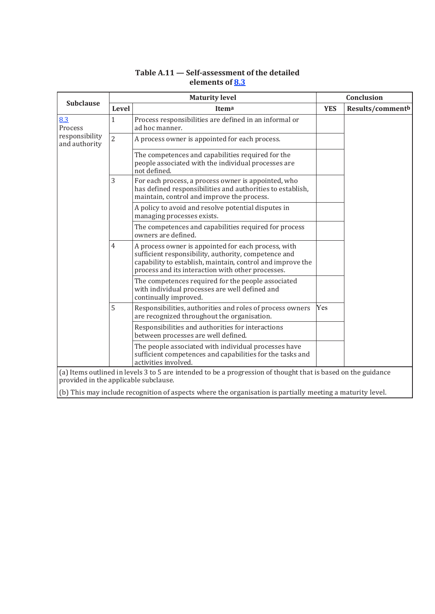## **Table A.11 — Self-assessment of the detailed elements of 8.3**

| <b>Subclause</b>                | <b>Maturity level</b>                                                                                                                                  |                                                                                                                                                                                                                                |            | Conclusion       |  |  |
|---------------------------------|--------------------------------------------------------------------------------------------------------------------------------------------------------|--------------------------------------------------------------------------------------------------------------------------------------------------------------------------------------------------------------------------------|------------|------------------|--|--|
|                                 | Level                                                                                                                                                  | Itema                                                                                                                                                                                                                          | <b>YES</b> | Results/commentb |  |  |
| 8.3<br>Process                  | $\mathbf{1}$                                                                                                                                           | Process responsibilities are defined in an informal or<br>ad hoc manner.                                                                                                                                                       |            |                  |  |  |
| responsibility<br>and authority | $\overline{2}$                                                                                                                                         | A process owner is appointed for each process.                                                                                                                                                                                 |            |                  |  |  |
|                                 |                                                                                                                                                        | The competences and capabilities required for the<br>people associated with the individual processes are<br>not defined.                                                                                                       |            |                  |  |  |
|                                 | 3                                                                                                                                                      | For each process, a process owner is appointed, who<br>has defined responsibilities and authorities to establish,<br>maintain, control and improve the process.                                                                |            |                  |  |  |
|                                 |                                                                                                                                                        | A policy to avoid and resolve potential disputes in<br>managing processes exists.                                                                                                                                              |            |                  |  |  |
|                                 |                                                                                                                                                        | The competences and capabilities required for process<br>owners are defined.                                                                                                                                                   |            |                  |  |  |
|                                 | 4                                                                                                                                                      | A process owner is appointed for each process, with<br>sufficient responsibility, authority, competence and<br>capability to establish, maintain, control and improve the<br>process and its interaction with other processes. |            |                  |  |  |
|                                 |                                                                                                                                                        | The competences required for the people associated<br>with individual processes are well defined and<br>continually improved.                                                                                                  |            |                  |  |  |
|                                 | 5                                                                                                                                                      | Responsibilities, authorities and roles of process owners<br>are recognized throughout the organisation.                                                                                                                       | Yes        |                  |  |  |
|                                 |                                                                                                                                                        | Responsibilities and authorities for interactions<br>between processes are well defined.                                                                                                                                       |            |                  |  |  |
|                                 |                                                                                                                                                        | The people associated with individual processes have<br>sufficient competences and capabilities for the tasks and<br>activities involved.                                                                                      |            |                  |  |  |
|                                 | (a) Items outlined in levels 3 to 5 are intended to be a progression of thought that is based on the guidance<br>provided in the applicable subclause. |                                                                                                                                                                                                                                |            |                  |  |  |
|                                 |                                                                                                                                                        | (b) This may include recognition of aspects where the organisation is partially meeting a maturity level.                                                                                                                      |            |                  |  |  |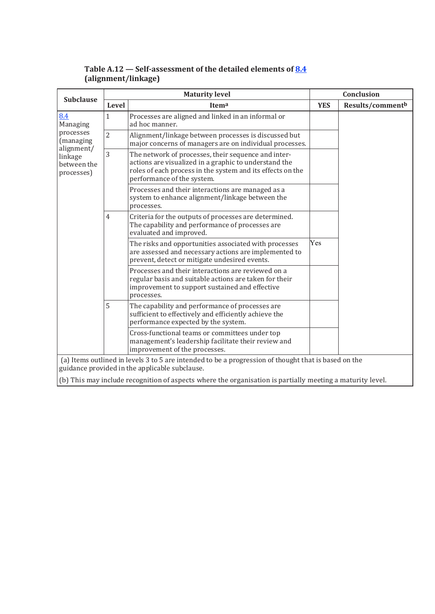| <b>Subclause</b>                                                                                |                                                                                                                                                        | <b>Maturity level</b>                                                                                                                                                                                    | Conclusion |                  |  |  |  |
|-------------------------------------------------------------------------------------------------|--------------------------------------------------------------------------------------------------------------------------------------------------------|----------------------------------------------------------------------------------------------------------------------------------------------------------------------------------------------------------|------------|------------------|--|--|--|
|                                                                                                 | Level                                                                                                                                                  | Itema                                                                                                                                                                                                    | <b>YES</b> | Results/commentb |  |  |  |
| 8.4<br>Managing<br>processes<br>(managing<br>alignment/<br>linkage<br>between the<br>processes) | $\mathbf{1}$                                                                                                                                           | Processes are aligned and linked in an informal or<br>ad hoc manner.                                                                                                                                     |            |                  |  |  |  |
|                                                                                                 | $\overline{2}$                                                                                                                                         | Alignment/linkage between processes is discussed but<br>major concerns of managers are on individual processes.                                                                                          |            |                  |  |  |  |
|                                                                                                 | 3                                                                                                                                                      | The network of processes, their sequence and inter-<br>actions are visualized in a graphic to understand the<br>roles of each process in the system and its effects on the<br>performance of the system. |            |                  |  |  |  |
|                                                                                                 |                                                                                                                                                        | Processes and their interactions are managed as a<br>system to enhance alignment/linkage between the<br>processes.                                                                                       |            |                  |  |  |  |
|                                                                                                 | $\overline{4}$                                                                                                                                         | Criteria for the outputs of processes are determined.<br>The capability and performance of processes are<br>evaluated and improved.                                                                      |            |                  |  |  |  |
|                                                                                                 |                                                                                                                                                        | The risks and opportunities associated with processes<br>are assessed and necessary actions are implemented to<br>prevent, detect or mitigate undesired events.                                          | Yes        |                  |  |  |  |
|                                                                                                 |                                                                                                                                                        | Processes and their interactions are reviewed on a<br>regular basis and suitable actions are taken for their<br>improvement to support sustained and effective<br>processes.                             |            |                  |  |  |  |
|                                                                                                 | 5                                                                                                                                                      | The capability and performance of processes are<br>sufficient to effectively and efficiently achieve the<br>performance expected by the system.                                                          |            |                  |  |  |  |
|                                                                                                 |                                                                                                                                                        | Cross-functional teams or committees under top<br>management's leadership facilitate their review and<br>improvement of the processes.                                                                   |            |                  |  |  |  |
|                                                                                                 | (a) Items outlined in levels 3 to 5 are intended to be a progression of thought that is based on the<br>guidance provided in the applicable subclause. |                                                                                                                                                                                                          |            |                  |  |  |  |
|                                                                                                 |                                                                                                                                                        |                                                                                                                                                                                                          |            |                  |  |  |  |
|                                                                                                 |                                                                                                                                                        | (b) This may include recognition of aspects where the organisation is partially meeting a maturity level.                                                                                                |            |                  |  |  |  |

# **Table A.12 — Self-assessment of the detailed elements of 8.4 (alignment/linkage)**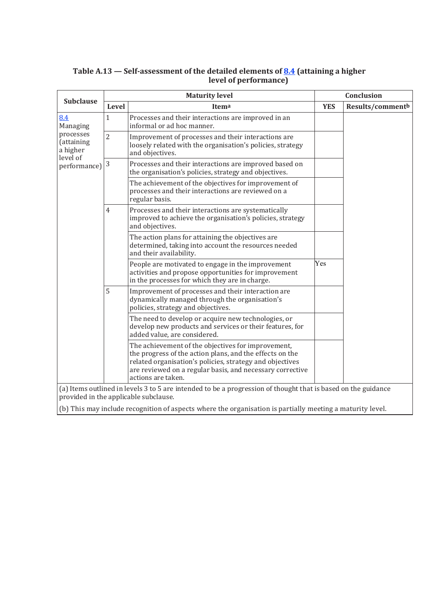|                                                 | <b>Maturity level</b><br><b>Subclause</b> |                                                                                                                                                                                                                                                               |            | <b>Conclusion</b> |
|-------------------------------------------------|-------------------------------------------|---------------------------------------------------------------------------------------------------------------------------------------------------------------------------------------------------------------------------------------------------------------|------------|-------------------|
|                                                 | Level                                     | Itema                                                                                                                                                                                                                                                         | <b>YES</b> | Results/commentb  |
| 8.4<br>Managing                                 | $\mathbf{1}$                              | Processes and their interactions are improved in an<br>informal or ad hoc manner.                                                                                                                                                                             |            |                   |
| processes<br>(attaining<br>a higher<br>level of | $\overline{2}$                            | Improvement of processes and their interactions are<br>loosely related with the organisation's policies, strategy<br>and objectives.                                                                                                                          |            |                   |
| performance)                                    | $\sqrt{3}$                                | Processes and their interactions are improved based on<br>the organisation's policies, strategy and objectives.                                                                                                                                               |            |                   |
|                                                 |                                           | The achievement of the objectives for improvement of<br>processes and their interactions are reviewed on a<br>regular basis.                                                                                                                                  |            |                   |
|                                                 | $\overline{4}$                            | Processes and their interactions are systematically<br>improved to achieve the organisation's policies, strategy<br>and objectives.                                                                                                                           |            |                   |
|                                                 |                                           | The action plans for attaining the objectives are<br>determined, taking into account the resources needed<br>and their availability.                                                                                                                          |            |                   |
|                                                 |                                           | People are motivated to engage in the improvement<br>activities and propose opportunities for improvement<br>in the processes for which they are in charge.                                                                                                   | Yes        |                   |
|                                                 | 5                                         | Improvement of processes and their interaction are<br>dynamically managed through the organisation's<br>policies, strategy and objectives.                                                                                                                    |            |                   |
|                                                 |                                           | The need to develop or acquire new technologies, or<br>develop new products and services or their features, for<br>added value, are considered.                                                                                                               |            |                   |
|                                                 |                                           | The achievement of the objectives for improvement,<br>the progress of the action plans, and the effects on the<br>related organisation's policies, strategy and objectives<br>are reviewed on a regular basis, and necessary corrective<br>actions are taken. |            |                   |
|                                                 |                                           | (a) Items outlined in levels 3 to 5 are intended to be a progression of thought that is based on the guidance<br>provided in the applicable subclause.                                                                                                        |            |                   |
|                                                 |                                           | (b) This may include recognition of aspects where the organisation is partially meeting a maturity level.                                                                                                                                                     |            |                   |

#### **Table A.13 — Self-assessment of the detailed elements of 8.4 (attaining a higher level of performance)**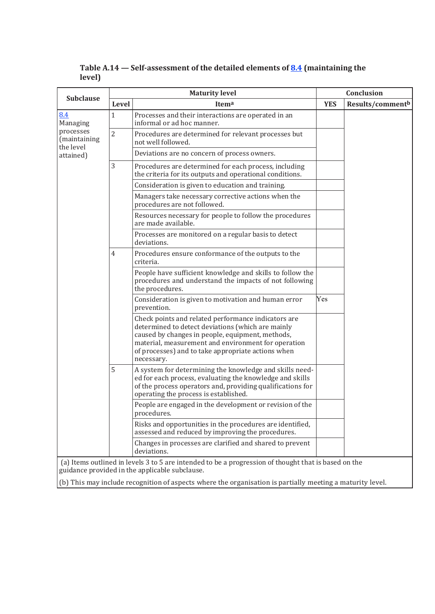| <b>Subclause</b>                       | <b>Maturity level</b> |                                                                                                                                                                                                                                                                                         |            | Conclusion       |  |
|----------------------------------------|-----------------------|-----------------------------------------------------------------------------------------------------------------------------------------------------------------------------------------------------------------------------------------------------------------------------------------|------------|------------------|--|
|                                        | Level                 | Itema                                                                                                                                                                                                                                                                                   | <b>YES</b> | Results/commentb |  |
| 8.4<br>Managing                        | 1                     | Processes and their interactions are operated in an<br>informal or ad hoc manner.                                                                                                                                                                                                       |            |                  |  |
| processes<br>(maintaining<br>the level | $\overline{2}$        | Procedures are determined for relevant processes but<br>not well followed.                                                                                                                                                                                                              |            |                  |  |
| attained)                              |                       | Deviations are no concern of process owners.                                                                                                                                                                                                                                            |            |                  |  |
|                                        | 3                     | Procedures are determined for each process, including<br>the criteria for its outputs and operational conditions.                                                                                                                                                                       |            |                  |  |
|                                        |                       | Consideration is given to education and training.                                                                                                                                                                                                                                       |            |                  |  |
|                                        |                       | Managers take necessary corrective actions when the<br>procedures are not followed.                                                                                                                                                                                                     |            |                  |  |
|                                        |                       | Resources necessary for people to follow the procedures<br>are made available.                                                                                                                                                                                                          |            |                  |  |
|                                        |                       | Processes are monitored on a regular basis to detect<br>deviations.                                                                                                                                                                                                                     |            |                  |  |
|                                        | 4                     | Procedures ensure conformance of the outputs to the<br>criteria.                                                                                                                                                                                                                        |            |                  |  |
|                                        |                       | People have sufficient knowledge and skills to follow the<br>procedures and understand the impacts of not following<br>the procedures.                                                                                                                                                  |            |                  |  |
|                                        |                       | Consideration is given to motivation and human error<br>prevention.                                                                                                                                                                                                                     | Yes        |                  |  |
|                                        |                       | Check points and related performance indicators are<br>determined to detect deviations (which are mainly<br>caused by changes in people, equipment, methods,<br>material, measurement and environment for operation<br>of processes) and to take appropriate actions when<br>necessary. |            |                  |  |
|                                        | 5                     | A system for determining the knowledge and skills need-<br>ed for each process, evaluating the knowledge and skills<br>of the process operators and, providing qualifications for<br>operating the process is established.                                                              |            |                  |  |
|                                        |                       | People are engaged in the development or revision of the<br>procedures.                                                                                                                                                                                                                 |            |                  |  |
|                                        |                       | Risks and opportunities in the procedures are identified,<br>assessed and reduced by improving the procedures.                                                                                                                                                                          |            |                  |  |
|                                        |                       | Changes in processes are clarified and shared to prevent<br>deviations.                                                                                                                                                                                                                 |            |                  |  |
|                                        |                       | (a) Items outlined in levels 3 to 5 are intended to be a progression of thought that is based on the<br>guidance provided in the applicable subclause.                                                                                                                                  |            |                  |  |

**Table A.14 — Self-assessment of the detailed elements of 8.4 (maintaining the level)**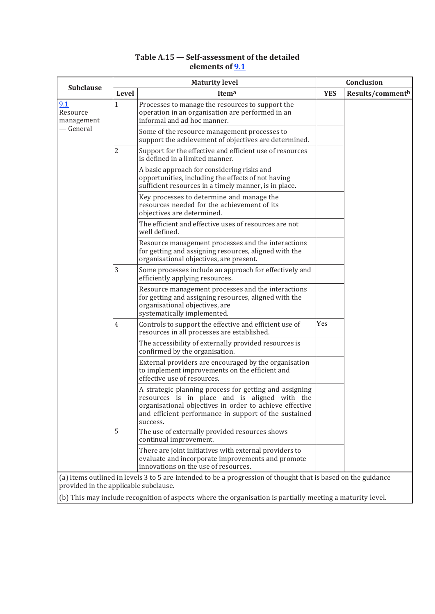#### **Table A.15 — Self-assessment of the detailed elements of 9.1**

|                                       |                | <b>Maturity level</b>                                                                                                                                                                                                                   |            | Conclusion                   |
|---------------------------------------|----------------|-----------------------------------------------------------------------------------------------------------------------------------------------------------------------------------------------------------------------------------------|------------|------------------------------|
| <b>Subclause</b>                      | Level          | Itema                                                                                                                                                                                                                                   | <b>YES</b> | Results/comment <sup>b</sup> |
| 9.1<br>Resource<br>management         | $\mathbf{1}$   | Processes to manage the resources to support the<br>operation in an organisation are performed in an<br>informal and ad hoc manner.                                                                                                     |            |                              |
| — General                             |                | Some of the resource management processes to<br>support the achievement of objectives are determined.                                                                                                                                   |            |                              |
|                                       | $\overline{2}$ | Support for the effective and efficient use of resources<br>is defined in a limited manner.                                                                                                                                             |            |                              |
|                                       |                | A basic approach for considering risks and<br>opportunities, including the effects of not having<br>sufficient resources in a timely manner, is in place.                                                                               |            |                              |
|                                       |                | Key processes to determine and manage the<br>resources needed for the achievement of its<br>objectives are determined.                                                                                                                  |            |                              |
|                                       |                | The efficient and effective uses of resources are not<br>well defined.                                                                                                                                                                  |            |                              |
|                                       |                | Resource management processes and the interactions<br>for getting and assigning resources, aligned with the<br>organisational objectives, are present.                                                                                  |            |                              |
|                                       | 3              | Some processes include an approach for effectively and<br>efficiently applying resources.                                                                                                                                               |            |                              |
|                                       |                | Resource management processes and the interactions<br>for getting and assigning resources, aligned with the<br>organisational objectives, are<br>systematically implemented.                                                            |            |                              |
|                                       | $\overline{4}$ | Controls to support the effective and efficient use of<br>resources in all processes are established.                                                                                                                                   | Yes        |                              |
|                                       |                | The accessibility of externally provided resources is<br>confirmed by the organisation.                                                                                                                                                 |            |                              |
|                                       |                | External providers are encouraged by the organisation<br>to implement improvements on the efficient and<br>effective use of resources.                                                                                                  |            |                              |
|                                       |                | A strategic planning process for getting and assigning<br>resources is in place and is aligned with the<br>organisational objectives in order to achieve effective<br>and efficient performance in support of the sustained<br>success. |            |                              |
|                                       | 5              | The use of externally provided resources shows<br>continual improvement.                                                                                                                                                                |            |                              |
|                                       |                | There are joint initiatives with external providers to<br>evaluate and incorporate improvements and promote<br>innovations on the use of resources.                                                                                     |            |                              |
| provided in the applicable subclause. |                | (a) Items outlined in levels 3 to 5 are intended to be a progression of thought that is based on the guidance                                                                                                                           |            |                              |
|                                       |                | (b) This may include recognition of aspects where the organisation is partially meeting a maturity level.                                                                                                                               |            |                              |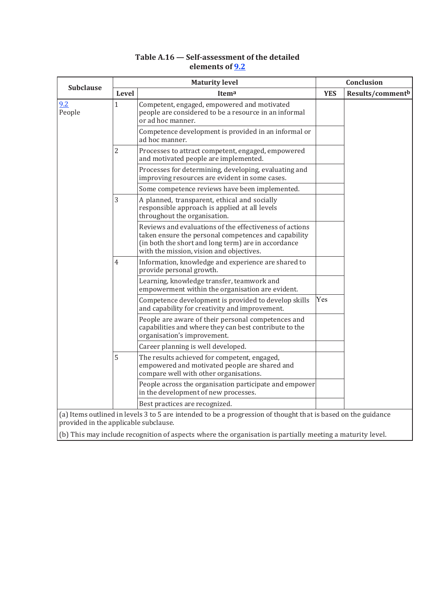|                                       |                | <b>Maturity level</b>                                                                                                                                                                                              |            | Conclusion                   |
|---------------------------------------|----------------|--------------------------------------------------------------------------------------------------------------------------------------------------------------------------------------------------------------------|------------|------------------------------|
| <b>Subclause</b>                      | Level          | Itema                                                                                                                                                                                                              | <b>YES</b> | Results/comment <sup>b</sup> |
| 9.2<br>People                         | 1              | Competent, engaged, empowered and motivated<br>people are considered to be a resource in an informal<br>or ad hoc manner.                                                                                          |            |                              |
|                                       |                | Competence development is provided in an informal or<br>ad hoc manner.                                                                                                                                             |            |                              |
|                                       | $\overline{2}$ | Processes to attract competent, engaged, empowered<br>and motivated people are implemented.                                                                                                                        |            |                              |
|                                       |                | Processes for determining, developing, evaluating and<br>improving resources are evident in some cases.                                                                                                            |            |                              |
|                                       |                | Some competence reviews have been implemented.                                                                                                                                                                     |            |                              |
|                                       | 3              | A planned, transparent, ethical and socially<br>responsible approach is applied at all levels<br>throughout the organisation.                                                                                      |            |                              |
|                                       |                | Reviews and evaluations of the effectiveness of actions<br>taken ensure the personal competences and capability<br>(in both the short and long term) are in accordance<br>with the mission, vision and objectives. |            |                              |
|                                       | $\overline{4}$ | Information, knowledge and experience are shared to<br>provide personal growth.                                                                                                                                    |            |                              |
|                                       |                | Learning, knowledge transfer, teamwork and<br>empowerment within the organisation are evident.                                                                                                                     |            |                              |
|                                       |                | Competence development is provided to develop skills<br>and capability for creativity and improvement.                                                                                                             | Yes        |                              |
|                                       |                | People are aware of their personal competences and<br>capabilities and where they can best contribute to the<br>organisation's improvement.                                                                        |            |                              |
|                                       |                | Career planning is well developed.                                                                                                                                                                                 |            |                              |
|                                       | 5              | The results achieved for competent, engaged,<br>empowered and motivated people are shared and<br>compare well with other organisations.                                                                            |            |                              |
|                                       |                | People across the organisation participate and empower<br>in the development of new processes.                                                                                                                     |            |                              |
|                                       |                | Best practices are recognized.                                                                                                                                                                                     |            |                              |
| provided in the applicable subclause. |                | (a) Items outlined in levels 3 to 5 are intended to be a progression of thought that is based on the guidance                                                                                                      |            |                              |
|                                       |                | (b) This may include recognition of aspects where the organisation is partially meeting a maturity level.                                                                                                          |            |                              |

## **Table A.16 — Self-assessment of the detailed elements of 9.2**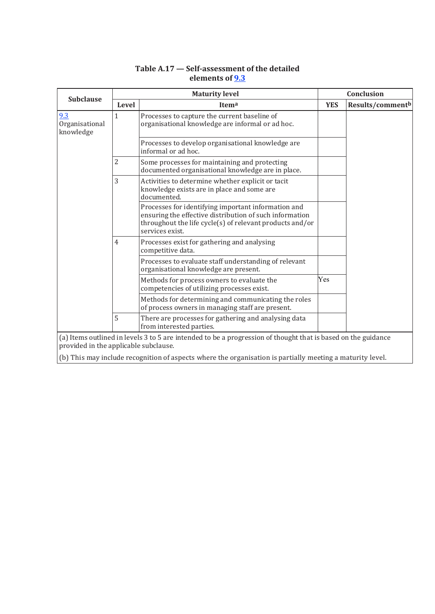## **Table A.17 — Self-assessment of the detailed elements of 9.3**

| <b>Subclause</b>                      |                | <b>Maturity level</b>                                                                                                                                                                         | Conclusion |                              |
|---------------------------------------|----------------|-----------------------------------------------------------------------------------------------------------------------------------------------------------------------------------------------|------------|------------------------------|
|                                       | Level          | Itema                                                                                                                                                                                         | <b>YES</b> | Results/comment <sup>b</sup> |
| 9.3<br>Organisational<br>knowledge    | $\mathbf{1}$   | Processes to capture the current baseline of<br>organisational knowledge are informal or ad hoc.                                                                                              |            |                              |
|                                       |                | Processes to develop organisational knowledge are<br>informal or ad hoc.                                                                                                                      |            |                              |
|                                       | 2              | Some processes for maintaining and protecting<br>documented organisational knowledge are in place.                                                                                            |            |                              |
|                                       | 3              | Activities to determine whether explicit or tacit<br>knowledge exists are in place and some are<br>documented.                                                                                |            |                              |
|                                       |                | Processes for identifying important information and<br>ensuring the effective distribution of such information<br>throughout the life cycle(s) of relevant products and/or<br>services exist. |            |                              |
|                                       | $\overline{4}$ | Processes exist for gathering and analysing<br>competitive data.                                                                                                                              |            |                              |
|                                       |                | Processes to evaluate staff understanding of relevant<br>organisational knowledge are present.                                                                                                |            |                              |
|                                       |                | Methods for process owners to evaluate the<br>competencies of utilizing processes exist.                                                                                                      | Yes        |                              |
|                                       |                | Methods for determining and communicating the roles<br>of process owners in managing staff are present.                                                                                       |            |                              |
|                                       | 5              | There are processes for gathering and analysing data<br>from interested parties.                                                                                                              |            |                              |
| provided in the applicable subclause. |                | (a) Items outlined in levels 3 to 5 are intended to be a progression of thought that is based on the guidance                                                                                 |            |                              |
|                                       |                | (b) This may include recognition of aspects where the organisation is partially meeting a maturity level.                                                                                     |            |                              |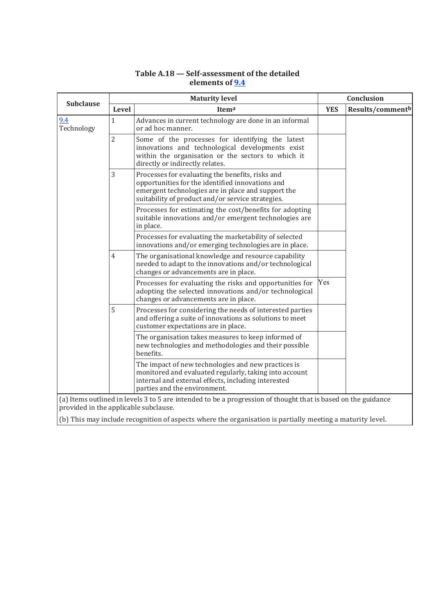# **Table A.18 — Self-assessment of the detailed elements of 9.4**

| <b>Subclause</b>                      | <b>Maturity level</b> |                                                                                                                                                                                                                 |            | <b>Conclusion</b> |  |
|---------------------------------------|-----------------------|-----------------------------------------------------------------------------------------------------------------------------------------------------------------------------------------------------------------|------------|-------------------|--|
|                                       | Level                 | Itema                                                                                                                                                                                                           | <b>YES</b> | Results/commentb  |  |
| 9.4<br>Technology                     | $\mathbf{1}$          | Advances in current technology are done in an informal<br>or ad hoc manner.                                                                                                                                     |            |                   |  |
|                                       | $\overline{2}$        | Some of the processes for identifying the latest<br>innovations and technological developments exist<br>within the organisation or the sectors to which it<br>directly or indirectly relates.                   |            |                   |  |
|                                       | 3                     | Processes for evaluating the benefits, risks and<br>opportunities for the identified innovations and<br>emergent technologies are in place and support the<br>suitability of product and/or service strategies. |            |                   |  |
|                                       |                       | Processes for estimating the cost/benefits for adopting<br>suitable innovations and/or emergent technologies are<br>in place.                                                                                   |            |                   |  |
|                                       |                       | Processes for evaluating the marketability of selected<br>innovations and/or emerging technologies are in place.                                                                                                |            |                   |  |
|                                       | $\overline{4}$        | The organisational knowledge and resource capability<br>needed to adapt to the innovations and/or technological<br>changes or advancements are in place.                                                        |            |                   |  |
|                                       |                       | Processes for evaluating the risks and opportunities for<br>adopting the selected innovations and/or technological<br>changes or advancements are in place.                                                     | Yes        |                   |  |
|                                       | 5                     | Processes for considering the needs of interested parties<br>and offering a suite of innovations as solutions to meet<br>customer expectations are in place.                                                    |            |                   |  |
|                                       |                       | The organisation takes measures to keep informed of<br>new technologies and methodologies and their possible<br>benefits.                                                                                       |            |                   |  |
|                                       |                       | The impact of new technologies and new practices is<br>monitored and evaluated regularly, taking into account<br>internal and external effects, including interested<br>parties and the environment.            |            |                   |  |
| provided in the applicable subclause. |                       | (a) Items outlined in levels 3 to 5 are intended to be a progression of thought that is based on the guidance                                                                                                   |            |                   |  |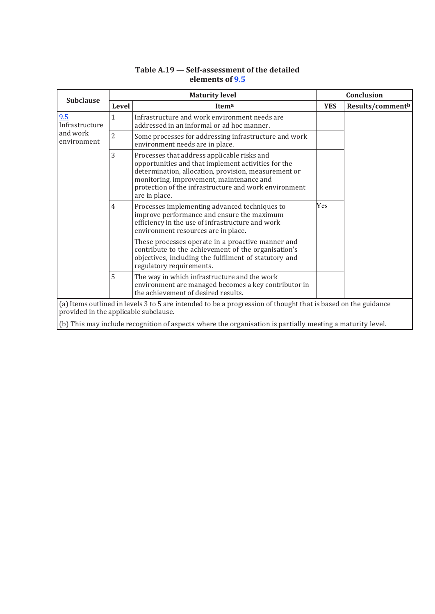| <b>Subclause</b>                      | <b>Maturity level</b> |                                                                                                                                                                                                                                                                                  |            | Conclusion       |  |
|---------------------------------------|-----------------------|----------------------------------------------------------------------------------------------------------------------------------------------------------------------------------------------------------------------------------------------------------------------------------|------------|------------------|--|
|                                       | Level                 | Itema                                                                                                                                                                                                                                                                            | <b>YES</b> | Results/commentb |  |
| 9.5<br>Infrastructure                 | $\mathbf{1}$          | Infrastructure and work environment needs are<br>addressed in an informal or ad hoc manner.                                                                                                                                                                                      |            |                  |  |
| and work<br>environment               | $\overline{2}$        | Some processes for addressing infrastructure and work<br>environment needs are in place.                                                                                                                                                                                         |            |                  |  |
|                                       | 3                     | Processes that address applicable risks and<br>opportunities and that implement activities for the<br>determination, allocation, provision, measurement or<br>monitoring, improvement, maintenance and<br>protection of the infrastructure and work environment<br>are in place. |            |                  |  |
|                                       | $\overline{4}$        | Processes implementing advanced techniques to<br>improve performance and ensure the maximum<br>efficiency in the use of infrastructure and work<br>environment resources are in place.                                                                                           | Yes        |                  |  |
|                                       |                       | These processes operate in a proactive manner and<br>contribute to the achievement of the organisation's<br>objectives, including the fulfilment of statutory and<br>regulatory requirements.                                                                                    |            |                  |  |
|                                       | 5                     | The way in which infrastructure and the work<br>environment are managed becomes a key contributor in<br>the achievement of desired results.                                                                                                                                      |            |                  |  |
| provided in the applicable subclause. |                       | (a) Items outlined in levels 3 to 5 are intended to be a progression of thought that is based on the guidance                                                                                                                                                                    |            |                  |  |

# **Table A.19 — Self-assessment of the detailed elements of 9.5**

(b) This may include recognition of aspects where the organisation is partially meeting a maturity level.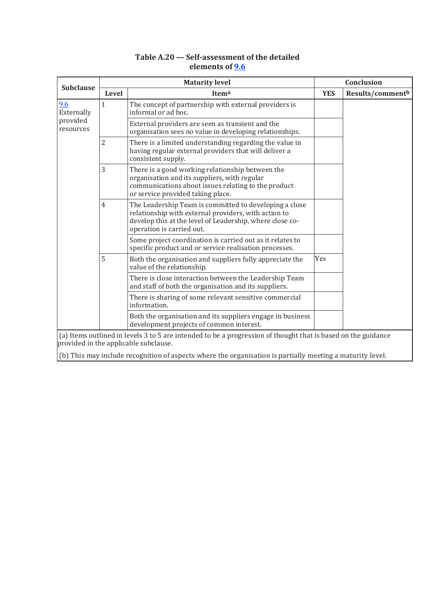| Table A.20 – Self-assessment of the detailed |  |
|----------------------------------------------|--|
| elements of 9.6                              |  |

|                       | <b>Maturity level</b> |                                                                                                                                                                                                         |            | Conclusion       |
|-----------------------|-----------------------|---------------------------------------------------------------------------------------------------------------------------------------------------------------------------------------------------------|------------|------------------|
| <b>Subclause</b>      | <b>Level</b>          | Itema                                                                                                                                                                                                   | <b>YES</b> | Results/commentb |
| 9.6<br>Externally     | $\mathbf{1}$          | The concept of partnership with external providers is<br>informal or ad hoc.                                                                                                                            |            |                  |
| provided<br>resources |                       | External providers are seen as transient and the<br>organisation sees no value in developing relationships.                                                                                             |            |                  |
|                       | $\overline{2}$        | There is a limited understanding regarding the value in<br>having regular external providers that will deliver a<br>consistent supply.                                                                  |            |                  |
|                       | 3                     | There is a good working relationship between the<br>organisation and its suppliers, with regular<br>communications about issues relating to the product<br>or service provided taking place.            |            |                  |
|                       | 4                     | The Leadership Team is committed to developing a close<br>relationship with external providers, with action to<br>develop this at the level of Leadership, where close co-<br>operation is carried out. |            |                  |
|                       |                       | Some project coordination is carried out as it relates to<br>specific product and or service realisation processes.                                                                                     |            |                  |
|                       | 5                     | Both the organisation and suppliers fully appreciate the<br>value of the relationship.                                                                                                                  | Yes        |                  |
|                       |                       | There is close interaction between the Leadership Team<br>and staff of both the organisation and its suppliers.                                                                                         |            |                  |
|                       |                       | There is sharing of some relevant sensitive commercial<br>information.                                                                                                                                  |            |                  |
|                       |                       | Both the organisation and its suppliers engage in business<br>development projects of common interest.                                                                                                  |            |                  |
|                       |                       | (a) Items outlined in levels 3 to 5 are intended to be a progression of thought that is based on the guidance<br>provided in the applicable subclause.                                                  |            |                  |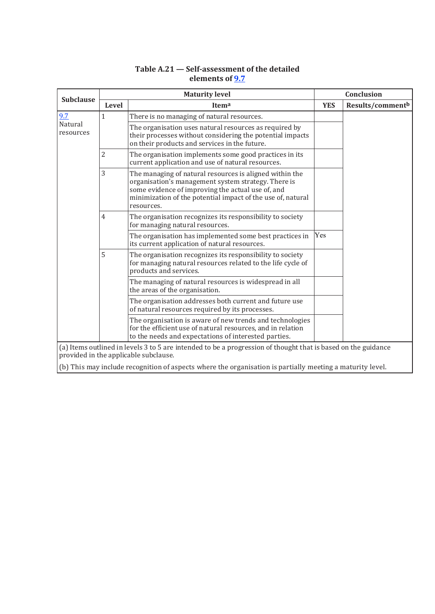|                      |                | <b>Maturity level</b>                                                                                                                                                                                                                            | Conclusion |                  |
|----------------------|----------------|--------------------------------------------------------------------------------------------------------------------------------------------------------------------------------------------------------------------------------------------------|------------|------------------|
| <b>Subclause</b>     | <b>Level</b>   | Itema                                                                                                                                                                                                                                            | <b>YES</b> | Results/commentb |
| 9.7                  | $\mathbf{1}$   | There is no managing of natural resources.                                                                                                                                                                                                       |            |                  |
| Natural<br>resources |                | The organisation uses natural resources as required by<br>their processes without considering the potential impacts<br>on their products and services in the future.                                                                             |            |                  |
|                      | $\overline{2}$ | The organisation implements some good practices in its<br>current application and use of natural resources.                                                                                                                                      |            |                  |
|                      | 3              | The managing of natural resources is aligned within the<br>organisation's management system strategy. There is<br>some evidence of improving the actual use of, and<br>minimization of the potential impact of the use of, natural<br>resources. |            |                  |
|                      | $\overline{4}$ | The organisation recognizes its responsibility to society<br>for managing natural resources.                                                                                                                                                     |            |                  |
|                      |                | The organisation has implemented some best practices in<br>its current application of natural resources.                                                                                                                                         | Yes        |                  |
|                      | 5              | The organisation recognizes its responsibility to society<br>for managing natural resources related to the life cycle of<br>products and services.                                                                                               |            |                  |
|                      |                | The managing of natural resources is widespread in all<br>the areas of the organisation.                                                                                                                                                         |            |                  |
|                      |                | The organisation addresses both current and future use<br>of natural resources required by its processes.                                                                                                                                        |            |                  |
|                      |                | The organisation is aware of new trends and technologies<br>for the efficient use of natural resources, and in relation<br>to the needs and expectations of interested parties.                                                                  |            |                  |
|                      |                | (a) Items outlined in levels 3 to 5 are intended to be a progression of thought that is based on the guidance<br>provided in the applicable subclause.                                                                                           |            |                  |
|                      |                | (b) This may include recognition of aspects where the organisation is partially meeting a maturity level.                                                                                                                                        |            |                  |

# **Table A.21 — Self-assessment of the detailed elements of 9.7**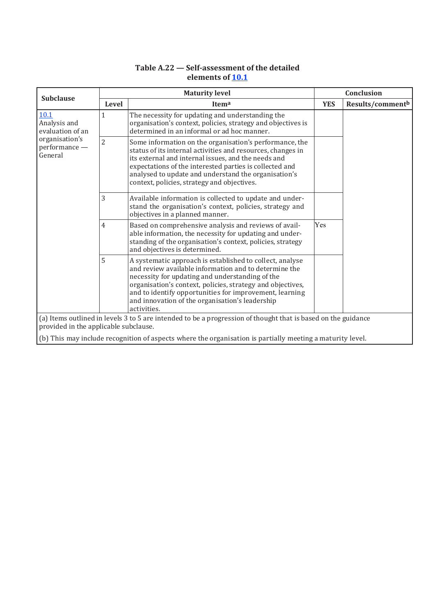# **Table A.22 — Self-assessment of the detailed elements of 10.1**

| <b>Subclause</b>                                                                                                                                       | <b>Maturity level</b> |                                                                                                                                                                                                                                                                                                                                                                 |            | Conclusion       |  |
|--------------------------------------------------------------------------------------------------------------------------------------------------------|-----------------------|-----------------------------------------------------------------------------------------------------------------------------------------------------------------------------------------------------------------------------------------------------------------------------------------------------------------------------------------------------------------|------------|------------------|--|
|                                                                                                                                                        | Level                 | Itema                                                                                                                                                                                                                                                                                                                                                           | <b>YES</b> | Results/commentb |  |
| 10.1<br>Analysis and<br>evaluation of an                                                                                                               | 1                     | The necessity for updating and understanding the<br>organisation's context, policies, strategy and objectives is<br>determined in an informal or ad hoc manner.                                                                                                                                                                                                 |            |                  |  |
| organisation's<br>performance -<br>General                                                                                                             | $\overline{2}$        | Some information on the organisation's performance, the<br>status of its internal activities and resources, changes in<br>its external and internal issues, and the needs and<br>expectations of the interested parties is collected and<br>analysed to update and understand the organisation's<br>context, policies, strategy and objectives.                 |            |                  |  |
|                                                                                                                                                        | 3                     | Available information is collected to update and under-<br>stand the organisation's context, policies, strategy and<br>objectives in a planned manner.                                                                                                                                                                                                          |            |                  |  |
|                                                                                                                                                        | 4                     | Based on comprehensive analysis and reviews of avail-<br>able information, the necessity for updating and under-<br>standing of the organisation's context, policies, strategy<br>and objectives is determined.                                                                                                                                                 | Yes        |                  |  |
|                                                                                                                                                        | 5                     | A systematic approach is established to collect, analyse<br>and review available information and to determine the<br>necessity for updating and understanding of the<br>organisation's context, policies, strategy and objectives,<br>and to identify opportunities for improvement, learning<br>and innovation of the organisation's leadership<br>activities. |            |                  |  |
| (a) Items outlined in levels 3 to 5 are intended to be a progression of thought that is based on the guidance<br>provided in the applicable subclause. |                       |                                                                                                                                                                                                                                                                                                                                                                 |            |                  |  |
|                                                                                                                                                        |                       | (b) This may include recognition of aspects where the organisation is partially meeting a maturity level.                                                                                                                                                                                                                                                       |            |                  |  |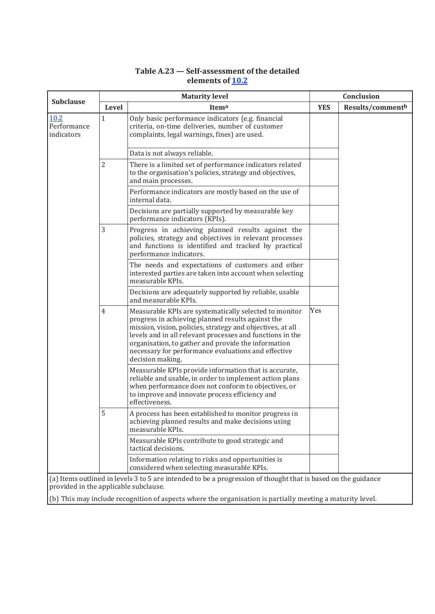# **Table A.23 — Self-assessment of the detailed elements of 10.2**

|                                                   | <b>Maturity level</b>                                                                                                                                                                                                                                                                                                                                                    |            | Conclusion                   |  |
|---------------------------------------------------|--------------------------------------------------------------------------------------------------------------------------------------------------------------------------------------------------------------------------------------------------------------------------------------------------------------------------------------------------------------------------|------------|------------------------------|--|
| <b>Subclause</b><br>Level                         | Itema                                                                                                                                                                                                                                                                                                                                                                    | <b>YES</b> | Results/comment <sup>b</sup> |  |
| 10.2<br>$\mathbf{1}$<br>Performance<br>indicators | Only basic performance indicators (e.g. financial<br>criteria, on-time deliveries, number of customer<br>complaints, legal warnings, fines) are used.                                                                                                                                                                                                                    |            |                              |  |
|                                                   | Data is not always reliable.                                                                                                                                                                                                                                                                                                                                             |            |                              |  |
| 2                                                 | There is a limited set of performance indicators related<br>to the organisation's policies, strategy and objectives,<br>and main processes.                                                                                                                                                                                                                              |            |                              |  |
|                                                   | Performance indicators are mostly based on the use of<br>internal data.                                                                                                                                                                                                                                                                                                  |            |                              |  |
|                                                   | Decisions are partially supported by measurable key<br>performance indicators (KPIs).                                                                                                                                                                                                                                                                                    |            |                              |  |
| 3                                                 | Progress in achieving planned results against the<br>policies, strategy and objectives in relevant processes<br>and functions is identified and tracked by practical<br>performance indicators.                                                                                                                                                                          |            |                              |  |
|                                                   | The needs and expectations of customers and other<br>interested parties are taken into account when selecting<br>measurable KPIs.                                                                                                                                                                                                                                        |            |                              |  |
|                                                   | Decisions are adequately supported by reliable, usable<br>and measurable KPIs.                                                                                                                                                                                                                                                                                           |            |                              |  |
| 4                                                 | Measurable KPIs are systematically selected to monitor<br>progress in achieving planned results against the<br>mission, vision, policies, strategy and objectives, at all<br>levels and in all relevant processes and functions in the<br>organisation, to gather and provide the information<br>necessary for performance evaluations and effective<br>decision making. | Yes        |                              |  |
|                                                   | Measurable KPIs provide information that is accurate,<br>reliable and usable, in order to implement action plans<br>when performance does not conform to objectives, or<br>to improve and innovate process efficiency and<br>effectiveness.                                                                                                                              |            |                              |  |
| 5                                                 | A process has been established to monitor progress in<br>achieving planned results and make decisions using<br>measurable KPIs.                                                                                                                                                                                                                                          |            |                              |  |
|                                                   | Measurable KPIs contribute to good strategic and<br>tactical decisions.                                                                                                                                                                                                                                                                                                  |            |                              |  |
|                                                   | Information relating to risks and opportunities is<br>considered when selecting measurable KPIs.                                                                                                                                                                                                                                                                         |            |                              |  |
| provided in the applicable subclause.             | (a) Items outlined in levels 3 to 5 are intended to be a progression of thought that is based on the guidance                                                                                                                                                                                                                                                            |            |                              |  |
|                                                   | (b) This may include recognition of aspects where the organisation is partially meeting a maturity level.                                                                                                                                                                                                                                                                |            |                              |  |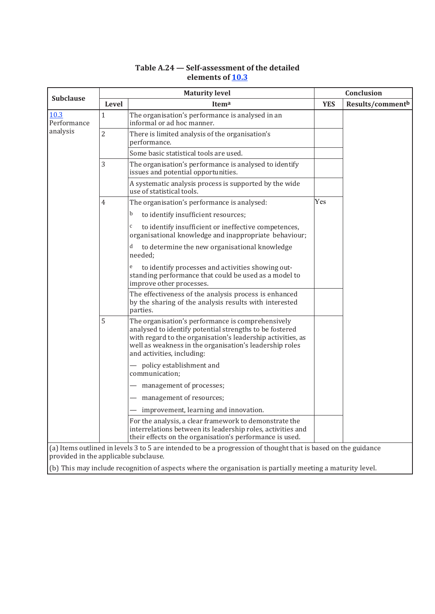| <b>Subclause</b>                      | <b>Maturity level</b> |                                                                                                                                                                                                                                                                      |            | Conclusion       |  |
|---------------------------------------|-----------------------|----------------------------------------------------------------------------------------------------------------------------------------------------------------------------------------------------------------------------------------------------------------------|------------|------------------|--|
|                                       | Level                 | Itema                                                                                                                                                                                                                                                                | <b>YES</b> | Results/commentb |  |
| 10.3<br>Performance<br>analysis       | $\mathbf{1}$          | The organisation's performance is analysed in an<br>informal or ad hoc manner.                                                                                                                                                                                       |            |                  |  |
|                                       | $\overline{2}$        | There is limited analysis of the organisation's<br>performance.                                                                                                                                                                                                      |            |                  |  |
|                                       |                       | Some basic statistical tools are used.                                                                                                                                                                                                                               |            |                  |  |
|                                       | 3                     | The organisation's performance is analysed to identify<br>issues and potential opportunities.                                                                                                                                                                        |            |                  |  |
|                                       |                       | A systematic analysis process is supported by the wide<br>use of statistical tools.                                                                                                                                                                                  |            |                  |  |
|                                       | 4                     | The organisation's performance is analysed:                                                                                                                                                                                                                          | Yes        |                  |  |
|                                       |                       | b<br>to identify insufficient resources;                                                                                                                                                                                                                             |            |                  |  |
|                                       |                       | $\mathsf{C}$<br>to identify insufficient or ineffective competences,<br>organisational knowledge and inappropriate behaviour;                                                                                                                                        |            |                  |  |
|                                       | 5                     | d<br>to determine the new organisational knowledge<br>needed:                                                                                                                                                                                                        |            |                  |  |
|                                       |                       | to identify processes and activities showing out-<br>e<br>standing performance that could be used as a model to<br>improve other processes.                                                                                                                          |            |                  |  |
|                                       |                       | The effectiveness of the analysis process is enhanced<br>by the sharing of the analysis results with interested<br>parties.                                                                                                                                          |            |                  |  |
|                                       |                       | The organisation's performance is comprehensively<br>analysed to identify potential strengths to be fostered<br>with regard to the organisation's leadership activities, as<br>well as weakness in the organisation's leadership roles<br>and activities, including: |            |                  |  |
|                                       |                       | - policy establishment and<br>communication;                                                                                                                                                                                                                         |            |                  |  |
|                                       |                       | management of processes;                                                                                                                                                                                                                                             |            |                  |  |
|                                       |                       | - management of resources;                                                                                                                                                                                                                                           |            |                  |  |
|                                       |                       | improvement, learning and innovation.                                                                                                                                                                                                                                |            |                  |  |
|                                       |                       | For the analysis, a clear framework to demonstrate the<br>interrelations between its leadership roles, activities and<br>their effects on the organisation's performance is used.                                                                                    |            |                  |  |
| provided in the applicable subclause. |                       | (a) Items outlined in levels 3 to 5 are intended to be a progression of thought that is based on the guidance                                                                                                                                                        |            |                  |  |

# **Table A.24 — Self-assessment of the detailed elements of 10.3**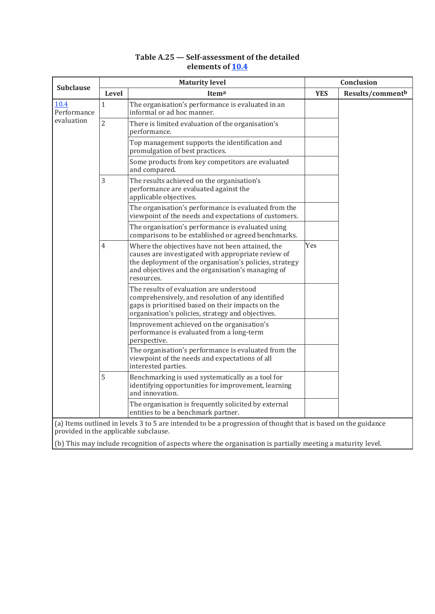| <b>Subclause</b>                  | <b>Maturity level</b> |                                                                                                                                                                                                                                      |            | Conclusion                   |  |  |
|-----------------------------------|-----------------------|--------------------------------------------------------------------------------------------------------------------------------------------------------------------------------------------------------------------------------------|------------|------------------------------|--|--|
|                                   | Level                 | Itema                                                                                                                                                                                                                                | <b>YES</b> | Results/comment <sup>b</sup> |  |  |
| 10.4<br>Performance<br>evaluation | $\mathbf{1}$          | The organisation's performance is evaluated in an<br>informal or ad hoc manner.                                                                                                                                                      |            |                              |  |  |
|                                   | $\overline{2}$        | There is limited evaluation of the organisation's<br>performance.                                                                                                                                                                    |            |                              |  |  |
|                                   |                       | Top management supports the identification and<br>promulgation of best practices.                                                                                                                                                    |            |                              |  |  |
|                                   |                       | Some products from key competitors are evaluated<br>and compared.                                                                                                                                                                    |            |                              |  |  |
|                                   | 3                     | The results achieved on the organisation's<br>performance are evaluated against the<br>applicable objectives.                                                                                                                        |            |                              |  |  |
|                                   |                       | The organisation's performance is evaluated from the<br>viewpoint of the needs and expectations of customers.                                                                                                                        |            |                              |  |  |
|                                   |                       | The organisation's performance is evaluated using<br>comparisons to be established or agreed benchmarks.                                                                                                                             |            |                              |  |  |
|                                   | $\overline{4}$        | Where the objectives have not been attained, the<br>causes are investigated with appropriate review of<br>the deployment of the organisation's policies, strategy<br>and objectives and the organisation's managing of<br>resources. | Yes        |                              |  |  |
|                                   |                       | The results of evaluation are understood<br>comprehensively, and resolution of any identified<br>gaps is prioritised based on their impacts on the<br>organisation's policies, strategy and objectives.                              |            |                              |  |  |
|                                   |                       | Improvement achieved on the organisation's<br>performance is evaluated from a long-term<br>perspective.                                                                                                                              |            |                              |  |  |
|                                   |                       | The organisation's performance is evaluated from the<br>viewpoint of the needs and expectations of all<br>interested parties.                                                                                                        |            |                              |  |  |
|                                   | 5                     | Benchmarking is used systematically as a tool for<br>identifying opportunities for improvement, learning<br>and innovation.                                                                                                          |            |                              |  |  |
|                                   |                       | The organisation is frequently solicited by external<br>entities to be a benchmark partner.                                                                                                                                          |            |                              |  |  |
|                                   |                       | (a) Items outlined in levels 3 to 5 are intended to be a progression of thought that is based on the guidance<br>provided in the applicable subclause.                                                                               |            |                              |  |  |

#### **Table A.25 — Self-assessment of the detailed elements of 10.4**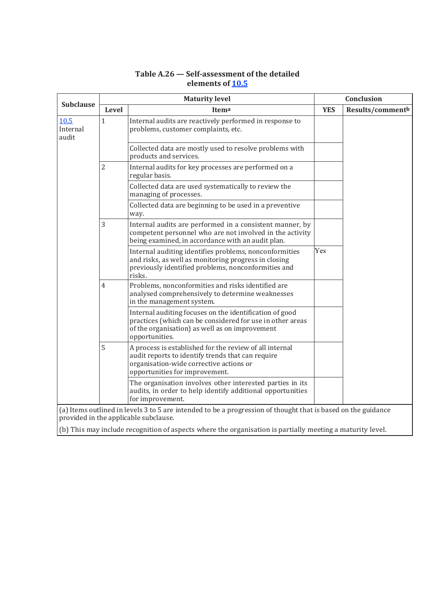| <b>Subclause</b>                                                                                                                                       | <b>Maturity level</b> |                                                                                                                                                                                           |            | Conclusion       |  |
|--------------------------------------------------------------------------------------------------------------------------------------------------------|-----------------------|-------------------------------------------------------------------------------------------------------------------------------------------------------------------------------------------|------------|------------------|--|
|                                                                                                                                                        | Level                 | Itema                                                                                                                                                                                     | <b>YES</b> | Results/commentb |  |
| 10.5<br>Internal<br>audit                                                                                                                              | $\mathbf{1}$          | Internal audits are reactively performed in response to<br>problems, customer complaints, etc.                                                                                            |            |                  |  |
|                                                                                                                                                        |                       | Collected data are mostly used to resolve problems with<br>products and services.                                                                                                         |            |                  |  |
|                                                                                                                                                        | $\overline{2}$        | Internal audits for key processes are performed on a<br>regular basis.                                                                                                                    |            |                  |  |
|                                                                                                                                                        |                       | Collected data are used systematically to review the<br>managing of processes.                                                                                                            |            |                  |  |
|                                                                                                                                                        |                       | Collected data are beginning to be used in a preventive<br>way.                                                                                                                           |            |                  |  |
|                                                                                                                                                        | 3                     | Internal audits are performed in a consistent manner, by<br>competent personnel who are not involved in the activity<br>being examined, in accordance with an audit plan.                 |            |                  |  |
|                                                                                                                                                        |                       | Internal auditing identifies problems, nonconformities<br>and risks, as well as monitoring progress in closing<br>previously identified problems, nonconformities and<br>risks.           | Yes        |                  |  |
|                                                                                                                                                        | $\overline{4}$        | Problems, nonconformities and risks identified are<br>analysed comprehensively to determine weaknesses<br>in the management system.                                                       |            |                  |  |
|                                                                                                                                                        |                       | Internal auditing focuses on the identification of good<br>practices (which can be considered for use in other areas<br>of the organisation) as well as on improvement<br>opportunities.  |            |                  |  |
|                                                                                                                                                        | 5                     | A process is established for the review of all internal<br>audit reports to identify trends that can require<br>organisation-wide corrective actions or<br>opportunities for improvement. |            |                  |  |
|                                                                                                                                                        |                       | The organisation involves other interested parties in its<br>audits, in order to help identify additional opportunities<br>for improvement.                                               |            |                  |  |
| (a) Items outlined in levels 3 to 5 are intended to be a progression of thought that is based on the guidance<br>provided in the applicable subclause. |                       |                                                                                                                                                                                           |            |                  |  |
|                                                                                                                                                        |                       | (b) This may include recognition of aspects where the organisation is partially meeting a maturity level.                                                                                 |            |                  |  |

# **Table A.26 — Self-assessment of the detailed elements of 10.5**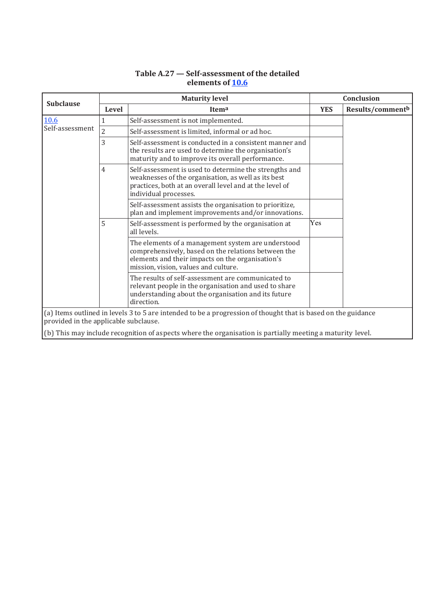#### **Subclause Maturity level Conclusion**<br> **Subclause Conclusion Level Itema YES Results/commentb** 10.6 Self-assessment 1 Self-assessment is not implemented. 2 Self-assessment is limited, informal or ad hoc. 3 Self-assessment is conducted in a consistent manner and the results are used to determine the organisation's maturity and to improve its overall performance. 4 Self-assessment is used to determine the strengths and weaknesses of the organisation, as well as its best practices, both at an overall level and at the level of individual processes. Self-assessment assists the organisation to prioritize, plan and implement improvements and/or innovations. 5 Self-assessment is performed by the organisation at all levels. Yes The elements of a management system are understood comprehensively, based on the relations between the elements and their impacts on the organisation's mission, vision, values and culture. The results of self-assessment are communicated to relevant people in the organisation and used to share understanding about the organisation and its future direction. (a) Items outlined in levels 3 to 5 are intended to be a progression of thought that is based on the guidance provided in the applicable subclause. (b) This may include recognition of aspects where the organisation is partially meeting a maturity level.

#### **Table A.27 — Self-assessment of the detailed elements of 10.6**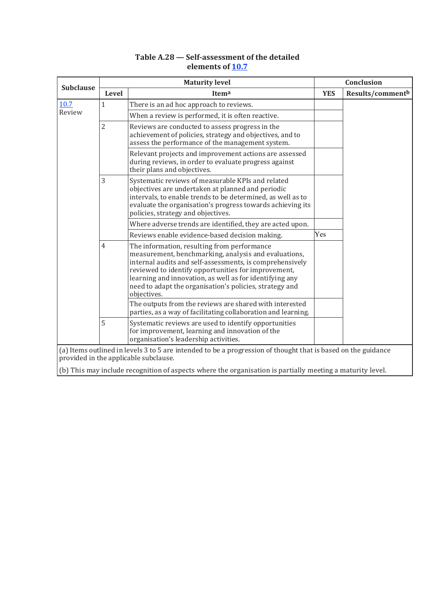#### **Table A.28 — Self-assessment of the detailed elements of 10.7**

|                                                                                                                                                        | <b>Maturity level</b> |                                                                                                                                                                                                                                                                                                                                                             |            | Conclusion                   |  |
|--------------------------------------------------------------------------------------------------------------------------------------------------------|-----------------------|-------------------------------------------------------------------------------------------------------------------------------------------------------------------------------------------------------------------------------------------------------------------------------------------------------------------------------------------------------------|------------|------------------------------|--|
| <b>Subclause</b>                                                                                                                                       | Level                 | Itema                                                                                                                                                                                                                                                                                                                                                       | <b>YES</b> | Results/comment <sup>b</sup> |  |
| 10.7                                                                                                                                                   | 1                     | There is an ad hoc approach to reviews.                                                                                                                                                                                                                                                                                                                     |            |                              |  |
| Review                                                                                                                                                 |                       | When a review is performed, it is often reactive.                                                                                                                                                                                                                                                                                                           |            |                              |  |
|                                                                                                                                                        | $\overline{2}$        | Reviews are conducted to assess progress in the<br>achievement of policies, strategy and objectives, and to<br>assess the performance of the management system.                                                                                                                                                                                             |            |                              |  |
|                                                                                                                                                        |                       | Relevant projects and improvement actions are assessed<br>during reviews, in order to evaluate progress against<br>their plans and objectives.                                                                                                                                                                                                              |            |                              |  |
|                                                                                                                                                        | 3                     | Systematic reviews of measurable KPIs and related<br>objectives are undertaken at planned and periodic<br>intervals, to enable trends to be determined, as well as to<br>evaluate the organisation's progress towards achieving its<br>policies, strategy and objectives.                                                                                   |            |                              |  |
|                                                                                                                                                        |                       | Where adverse trends are identified, they are acted upon.                                                                                                                                                                                                                                                                                                   |            |                              |  |
|                                                                                                                                                        |                       | Reviews enable evidence-based decision making.                                                                                                                                                                                                                                                                                                              | Yes        |                              |  |
|                                                                                                                                                        | $\overline{4}$        | The information, resulting from performance<br>measurement, benchmarking, analysis and evaluations,<br>internal audits and self-assessments, is comprehensively<br>reviewed to identify opportunities for improvement,<br>learning and innovation, as well as for identifying any<br>need to adapt the organisation's policies, strategy and<br>objectives. |            |                              |  |
|                                                                                                                                                        |                       | The outputs from the reviews are shared with interested<br>parties, as a way of facilitating collaboration and learning.                                                                                                                                                                                                                                    |            |                              |  |
|                                                                                                                                                        | 5                     | Systematic reviews are used to identify opportunities<br>for improvement, learning and innovation of the<br>organisation's leadership activities.                                                                                                                                                                                                           |            |                              |  |
| (a) Items outlined in levels 3 to 5 are intended to be a progression of thought that is based on the guidance<br>provided in the applicable subclause. |                       |                                                                                                                                                                                                                                                                                                                                                             |            |                              |  |
|                                                                                                                                                        |                       |                                                                                                                                                                                                                                                                                                                                                             |            |                              |  |
|                                                                                                                                                        |                       | (b) This may include recognition of aspects where the organisation is partially meeting a maturity level.                                                                                                                                                                                                                                                   |            |                              |  |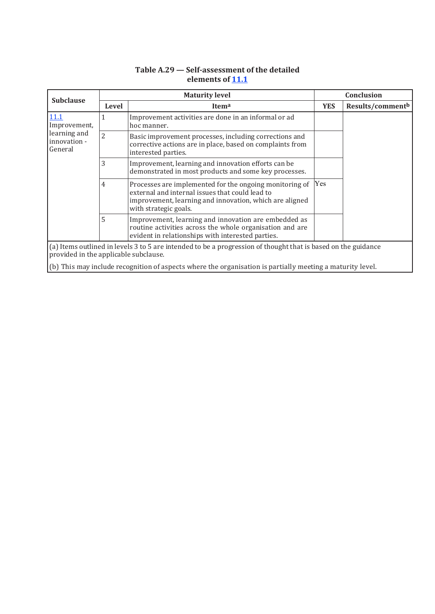| <b>Subclause</b>                                                                                                                                       | <b>Maturity level</b> |                                                                                                                                                                                                | Conclusion |                  |  |
|--------------------------------------------------------------------------------------------------------------------------------------------------------|-----------------------|------------------------------------------------------------------------------------------------------------------------------------------------------------------------------------------------|------------|------------------|--|
|                                                                                                                                                        | Level                 | Itema                                                                                                                                                                                          | <b>YES</b> | Results/commentb |  |
| 11.1<br>Improvement,<br>learning and<br>innovation -<br>General                                                                                        | 1                     | Improvement activities are done in an informal or ad<br>hoc manner.                                                                                                                            |            |                  |  |
|                                                                                                                                                        | $\overline{2}$        | Basic improvement processes, including corrections and<br>corrective actions are in place, based on complaints from<br>interested parties.                                                     |            |                  |  |
|                                                                                                                                                        | 3                     | Improvement, learning and innovation efforts can be<br>demonstrated in most products and some key processes.                                                                                   |            |                  |  |
|                                                                                                                                                        | 4                     | Processes are implemented for the ongoing monitoring of<br>external and internal issues that could lead to<br>improvement, learning and innovation, which are aligned<br>with strategic goals. | Yes        |                  |  |
|                                                                                                                                                        | 5                     | Improvement, learning and innovation are embedded as<br>routine activities across the whole organisation and are<br>evident in relationships with interested parties.                          |            |                  |  |
| (a) Items outlined in levels 3 to 5 are intended to be a progression of thought that is based on the guidance<br>provided in the applicable subclause. |                       |                                                                                                                                                                                                |            |                  |  |
| (b) This may include recognition of aspects where the organisation is partially meeting a maturity level.                                              |                       |                                                                                                                                                                                                |            |                  |  |

**Table A.29 — Self-assessment of the detailed elements of 11.1**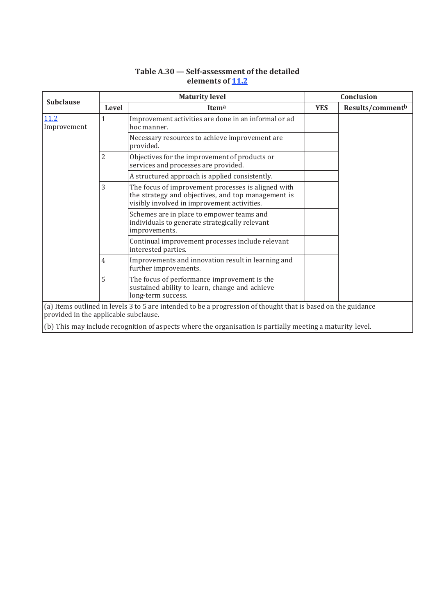| <b>Subclause</b>                      | <b>Maturity level</b> |                                                                                                                                                         |            | Conclusion       |  |
|---------------------------------------|-----------------------|---------------------------------------------------------------------------------------------------------------------------------------------------------|------------|------------------|--|
|                                       | <b>Level</b>          | Itema                                                                                                                                                   | <b>YES</b> | Results/commentb |  |
| 11.2<br>Improvement                   | 1                     | Improvement activities are done in an informal or ad<br>hoc manner.                                                                                     |            |                  |  |
|                                       |                       | Necessary resources to achieve improvement are<br>provided.                                                                                             |            |                  |  |
|                                       | 2                     | Objectives for the improvement of products or<br>services and processes are provided.                                                                   |            |                  |  |
|                                       |                       | A structured approach is applied consistently.                                                                                                          |            |                  |  |
|                                       | 3                     | The focus of improvement processes is aligned with<br>the strategy and objectives, and top management is<br>visibly involved in improvement activities. |            |                  |  |
|                                       |                       | Schemes are in place to empower teams and<br>individuals to generate strategically relevant<br>improvements.                                            |            |                  |  |
|                                       |                       | Continual improvement processes include relevant<br>interested parties.                                                                                 |            |                  |  |
|                                       | 4                     | Improvements and innovation result in learning and<br>further improvements.                                                                             |            |                  |  |
|                                       | 5                     | The focus of performance improvement is the<br>sustained ability to learn, change and achieve<br>long-term success.                                     |            |                  |  |
| provided in the applicable subclause. |                       | (a) Items outlined in levels 3 to 5 are intended to be a progression of thought that is based on the guidance                                           |            |                  |  |
|                                       |                       | (b) This may include recognition of aspects where the organisation is partially meeting a maturity level.                                               |            |                  |  |

# **Table A.30 — Self-assessment of the detailed elements of 11.2**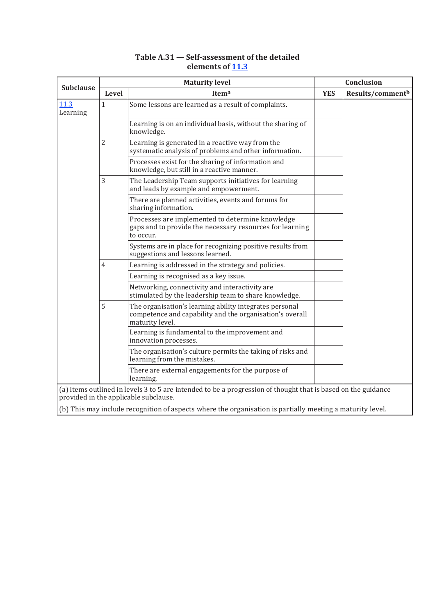|                  | <b>Maturity level</b> |                                                                                                                                                        |            | Conclusion       |  |
|------------------|-----------------------|--------------------------------------------------------------------------------------------------------------------------------------------------------|------------|------------------|--|
| <b>Subclause</b> | Level                 | Itema                                                                                                                                                  | <b>YES</b> | Results/commentb |  |
| 11.3<br>Learning | $\mathbf{1}$          | Some lessons are learned as a result of complaints.                                                                                                    |            |                  |  |
|                  |                       | Learning is on an individual basis, without the sharing of<br>knowledge.                                                                               |            |                  |  |
|                  | $\overline{2}$        | Learning is generated in a reactive way from the<br>systematic analysis of problems and other information.                                             |            |                  |  |
|                  |                       | Processes exist for the sharing of information and<br>knowledge, but still in a reactive manner.                                                       |            |                  |  |
|                  | 3                     | The Leadership Team supports initiatives for learning<br>and leads by example and empowerment.                                                         |            |                  |  |
|                  |                       | There are planned activities, events and forums for<br>sharing information.                                                                            |            |                  |  |
|                  |                       | Processes are implemented to determine knowledge<br>gaps and to provide the necessary resources for learning<br>to occur.                              |            |                  |  |
|                  |                       | Systems are in place for recognizing positive results from<br>suggestions and lessons learned.                                                         |            |                  |  |
|                  | $\overline{4}$        | Learning is addressed in the strategy and policies.                                                                                                    |            |                  |  |
|                  |                       | Learning is recognised as a key issue.                                                                                                                 |            |                  |  |
|                  |                       | Networking, connectivity and interactivity are<br>stimulated by the leadership team to share knowledge.                                                |            |                  |  |
|                  | 5                     | The organisation's learning ability integrates personal<br>competence and capability and the organisation's overall<br>maturity level.                 |            |                  |  |
|                  |                       | Learning is fundamental to the improvement and<br>innovation processes.                                                                                |            |                  |  |
|                  |                       | The organisation's culture permits the taking of risks and<br>learning from the mistakes.                                                              |            |                  |  |
|                  |                       | There are external engagements for the purpose of<br>learning.                                                                                         |            |                  |  |
|                  |                       | (a) Items outlined in levels 3 to 5 are intended to be a progression of thought that is based on the guidance<br>provided in the applicable subclause. |            |                  |  |

# **Table A.31 — Self-assessment of the detailed elements of 11.3**